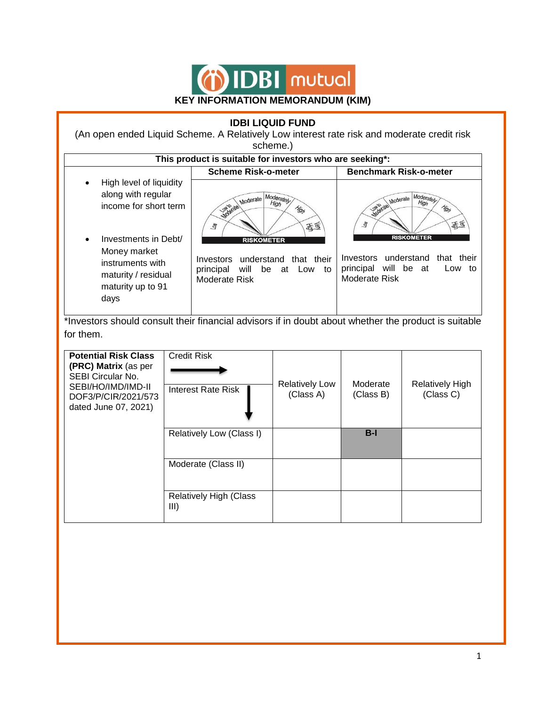

# **IDBI LIQUID FUND**

(An open ended Liquid Scheme. A Relatively Low interest rate risk and moderate credit risk scheme.)

| This product is suitable for investors who are seeking*:                                                                  |                                                                                                                     |                                                                                                               |  |  |
|---------------------------------------------------------------------------------------------------------------------------|---------------------------------------------------------------------------------------------------------------------|---------------------------------------------------------------------------------------------------------------|--|--|
|                                                                                                                           | <b>Scheme Risk-o-meter</b>                                                                                          | <b>Benchmark Risk-o-meter</b>                                                                                 |  |  |
| High level of liquidity<br>٠<br>along with regular<br>income for short term                                               | Moderately<br>Moderate<br>High<br><b>Light of die!</b><br>High<br>貢<br><b>Alg</b>                                   | ale Moderate <sub>ly</sub><br>Moderate<br>Mariagel<br>High<br>导<br>壽                                          |  |  |
| Investments in Debt/<br>$\bullet$<br>Money market<br>instruments with<br>maturity / residual<br>maturity up to 91<br>days | <b>RISKOMETER</b><br>Investors understand<br>that their<br>principal will<br>be<br>at<br>Low<br>to<br>Moderate Risk | <b>RISKOMETER</b><br>Investors understand<br>their<br>that<br>principal will be at<br>Low to<br>Moderate Risk |  |  |

\*Investors should consult their financial advisors if in doubt about whether the product is suitable for them.

| <b>Potential Risk Class</b><br>(PRC) Matrix (as per<br><b>SEBI Circular No.</b><br>SEBI/HO/IMD/IMD-II<br>DOF3/P/CIR/2021/573<br>dated June 07, 2021) | <b>Credit Risk</b><br><b>Interest Rate Risk</b> | <b>Relatively Low</b><br>(Class A) | Moderate<br>(Class B) | Relatively High<br>(Class C) |
|------------------------------------------------------------------------------------------------------------------------------------------------------|-------------------------------------------------|------------------------------------|-----------------------|------------------------------|
|                                                                                                                                                      | Relatively Low (Class I)                        |                                    | $B-I$                 |                              |
|                                                                                                                                                      | Moderate (Class II)                             |                                    |                       |                              |
|                                                                                                                                                      | <b>Relatively High (Class</b><br>III)           |                                    |                       |                              |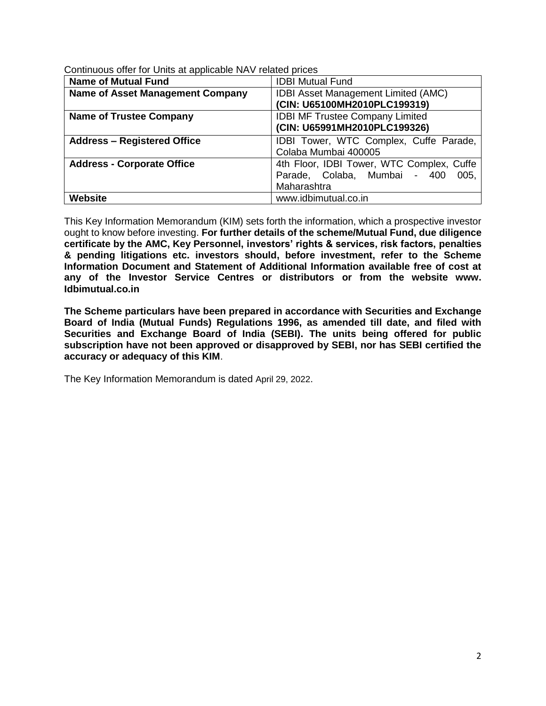| <b>Name of Mutual Fund</b>              | <b>IDBI Mutual Fund</b>                    |  |
|-----------------------------------------|--------------------------------------------|--|
| <b>Name of Asset Management Company</b> | <b>IDBI Asset Management Limited (AMC)</b> |  |
|                                         | (CIN: U65100MH2010PLC199319)               |  |
| <b>Name of Trustee Company</b>          | <b>IDBI MF Trustee Company Limited</b>     |  |
|                                         | (CIN: U65991MH2010PLC199326)               |  |
| <b>Address - Registered Office</b>      | IDBI Tower, WTC Complex, Cuffe Parade,     |  |
|                                         | Colaba Mumbai 400005                       |  |
| <b>Address - Corporate Office</b>       | 4th Floor, IDBI Tower, WTC Complex, Cuffe  |  |
|                                         | Parade, Colaba, Mumbai - 400<br>005,       |  |
|                                         | Maharashtra                                |  |
| <b>Website</b>                          | www.idbimutual.co.in                       |  |

Continuous offer for Units at applicable NAV related prices

This Key Information Memorandum (KIM) sets forth the information, which a prospective investor ought to know before investing. **For further details of the scheme/Mutual Fund, due diligence certificate by the AMC, Key Personnel, investors' rights & services, risk factors, penalties & pending litigations etc. investors should, before investment, refer to the Scheme Information Document and Statement of Additional Information available free of cost at any of the Investor Service Centres or distributors or from the website www. Idbimutual.co.in**

**The Scheme particulars have been prepared in accordance with Securities and Exchange Board of India (Mutual Funds) Regulations 1996, as amended till date, and filed with Securities and Exchange Board of India (SEBI). The units being offered for public subscription have not been approved or disapproved by SEBI, nor has SEBI certified the accuracy or adequacy of this KIM**.

The Key Information Memorandum is dated April 29, 2022.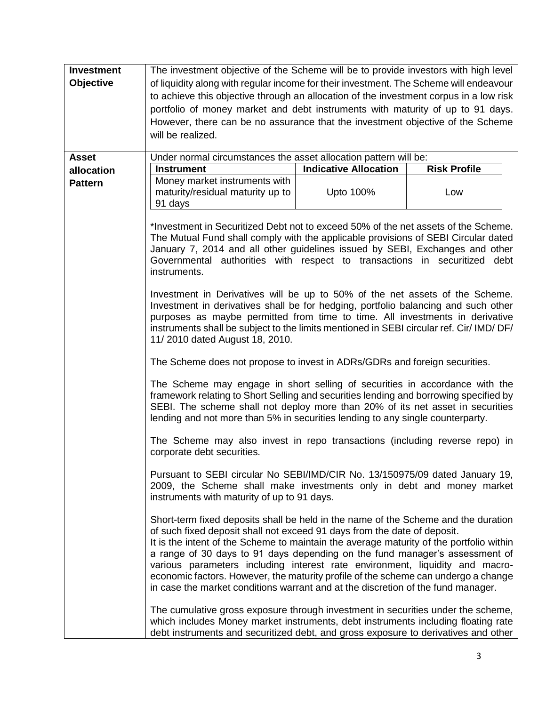| <b>Investment</b><br><b>Objective</b> | The investment objective of the Scheme will be to provide investors with high level<br>of liquidity along with regular income for their investment. The Scheme will endeavour<br>to achieve this objective through an allocation of the investment corpus in a low risk<br>portfolio of money market and debt instruments with maturity of up to 91 days.<br>However, there can be no assurance that the investment objective of the Scheme<br>will be realized.                                                                                                                                   |                              |                     |  |
|---------------------------------------|----------------------------------------------------------------------------------------------------------------------------------------------------------------------------------------------------------------------------------------------------------------------------------------------------------------------------------------------------------------------------------------------------------------------------------------------------------------------------------------------------------------------------------------------------------------------------------------------------|------------------------------|---------------------|--|
|                                       |                                                                                                                                                                                                                                                                                                                                                                                                                                                                                                                                                                                                    |                              |                     |  |
| <b>Asset</b>                          | Under normal circumstances the asset allocation pattern will be:                                                                                                                                                                                                                                                                                                                                                                                                                                                                                                                                   |                              |                     |  |
| allocation                            | <b>Instrument</b>                                                                                                                                                                                                                                                                                                                                                                                                                                                                                                                                                                                  | <b>Indicative Allocation</b> | <b>Risk Profile</b> |  |
| <b>Pattern</b>                        | Money market instruments with<br>maturity/residual maturity up to<br>91 days                                                                                                                                                                                                                                                                                                                                                                                                                                                                                                                       | Upto 100%                    | Low                 |  |
|                                       | *Investment in Securitized Debt not to exceed 50% of the net assets of the Scheme.<br>The Mutual Fund shall comply with the applicable provisions of SEBI Circular dated<br>January 7, 2014 and all other guidelines issued by SEBI, Exchanges and other<br>Governmental authorities with respect to transactions in securitized debt<br>instruments.                                                                                                                                                                                                                                              |                              |                     |  |
|                                       | Investment in Derivatives will be up to 50% of the net assets of the Scheme.<br>Investment in derivatives shall be for hedging, portfolio balancing and such other<br>purposes as maybe permitted from time to time. All investments in derivative<br>instruments shall be subject to the limits mentioned in SEBI circular ref. Cir/ IMD/ DF/<br>11/2010 dated August 18, 2010.                                                                                                                                                                                                                   |                              |                     |  |
|                                       | The Scheme does not propose to invest in ADRs/GDRs and foreign securities.                                                                                                                                                                                                                                                                                                                                                                                                                                                                                                                         |                              |                     |  |
|                                       | The Scheme may engage in short selling of securities in accordance with the<br>framework relating to Short Selling and securities lending and borrowing specified by<br>SEBI. The scheme shall not deploy more than 20% of its net asset in securities<br>lending and not more than 5% in securities lending to any single counterparty.<br>The Scheme may also invest in repo transactions (including reverse repo) in<br>corporate debt securities.                                                                                                                                              |                              |                     |  |
|                                       |                                                                                                                                                                                                                                                                                                                                                                                                                                                                                                                                                                                                    |                              |                     |  |
|                                       | Pursuant to SEBI circular No SEBI/IMD/CIR No. 13/150975/09 dated January 19,<br>2009, the Scheme shall make investments only in debt and money market<br>instruments with maturity of up to 91 days.                                                                                                                                                                                                                                                                                                                                                                                               |                              |                     |  |
|                                       | Short-term fixed deposits shall be held in the name of the Scheme and the duration<br>of such fixed deposit shall not exceed 91 days from the date of deposit.<br>It is the intent of the Scheme to maintain the average maturity of the portfolio within<br>a range of 30 days to 91 days depending on the fund manager's assessment of<br>various parameters including interest rate environment, liquidity and macro-<br>economic factors. However, the maturity profile of the scheme can undergo a change<br>in case the market conditions warrant and at the discretion of the fund manager. |                              |                     |  |
|                                       | The cumulative gross exposure through investment in securities under the scheme,<br>which includes Money market instruments, debt instruments including floating rate<br>debt instruments and securitized debt, and gross exposure to derivatives and other                                                                                                                                                                                                                                                                                                                                        |                              |                     |  |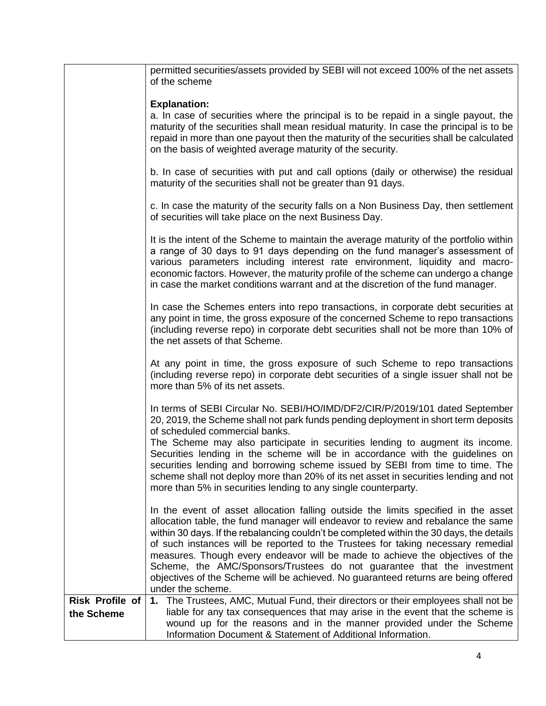|                                      | permitted securities/assets provided by SEBI will not exceed 100% of the net assets<br>of the scheme                                                                                                                                                                                                                                                                                                                                                                                                                                                                                                                          |
|--------------------------------------|-------------------------------------------------------------------------------------------------------------------------------------------------------------------------------------------------------------------------------------------------------------------------------------------------------------------------------------------------------------------------------------------------------------------------------------------------------------------------------------------------------------------------------------------------------------------------------------------------------------------------------|
|                                      | <b>Explanation:</b>                                                                                                                                                                                                                                                                                                                                                                                                                                                                                                                                                                                                           |
|                                      | a. In case of securities where the principal is to be repaid in a single payout, the<br>maturity of the securities shall mean residual maturity. In case the principal is to be<br>repaid in more than one payout then the maturity of the securities shall be calculated<br>on the basis of weighted average maturity of the security.                                                                                                                                                                                                                                                                                       |
|                                      | b. In case of securities with put and call options (daily or otherwise) the residual<br>maturity of the securities shall not be greater than 91 days.                                                                                                                                                                                                                                                                                                                                                                                                                                                                         |
|                                      | c. In case the maturity of the security falls on a Non Business Day, then settlement<br>of securities will take place on the next Business Day.                                                                                                                                                                                                                                                                                                                                                                                                                                                                               |
|                                      | It is the intent of the Scheme to maintain the average maturity of the portfolio within<br>a range of 30 days to 91 days depending on the fund manager's assessment of<br>various parameters including interest rate environment, liquidity and macro-<br>economic factors. However, the maturity profile of the scheme can undergo a change<br>in case the market conditions warrant and at the discretion of the fund manager.                                                                                                                                                                                              |
|                                      | In case the Schemes enters into repo transactions, in corporate debt securities at<br>any point in time, the gross exposure of the concerned Scheme to repo transactions<br>(including reverse repo) in corporate debt securities shall not be more than 10% of<br>the net assets of that Scheme.                                                                                                                                                                                                                                                                                                                             |
|                                      | At any point in time, the gross exposure of such Scheme to repo transactions<br>(including reverse repo) in corporate debt securities of a single issuer shall not be<br>more than 5% of its net assets.                                                                                                                                                                                                                                                                                                                                                                                                                      |
|                                      | In terms of SEBI Circular No. SEBI/HO/IMD/DF2/CIR/P/2019/101 dated September<br>20, 2019, the Scheme shall not park funds pending deployment in short term deposits<br>of scheduled commercial banks.                                                                                                                                                                                                                                                                                                                                                                                                                         |
|                                      | The Scheme may also participate in securities lending to augment its income.<br>Securities lending in the scheme will be in accordance with the guidelines on<br>securities lending and borrowing scheme issued by SEBI from time to time. The<br>scheme shall not deploy more than 20% of its net asset in securities lending and not<br>more than 5% in securities lending to any single counterparty.                                                                                                                                                                                                                      |
|                                      | In the event of asset allocation falling outside the limits specified in the asset<br>allocation table, the fund manager will endeavor to review and rebalance the same<br>within 30 days. If the rebalancing couldn't be completed within the 30 days, the details<br>of such instances will be reported to the Trustees for taking necessary remedial<br>measures. Though every endeavor will be made to achieve the objectives of the<br>Scheme, the AMC/Sponsors/Trustees do not guarantee that the investment<br>objectives of the Scheme will be achieved. No guaranteed returns are being offered<br>under the scheme. |
| <b>Risk Profile of</b><br>the Scheme | 1. The Trustees, AMC, Mutual Fund, their directors or their employees shall not be<br>liable for any tax consequences that may arise in the event that the scheme is<br>wound up for the reasons and in the manner provided under the Scheme<br>Information Document & Statement of Additional Information.                                                                                                                                                                                                                                                                                                                   |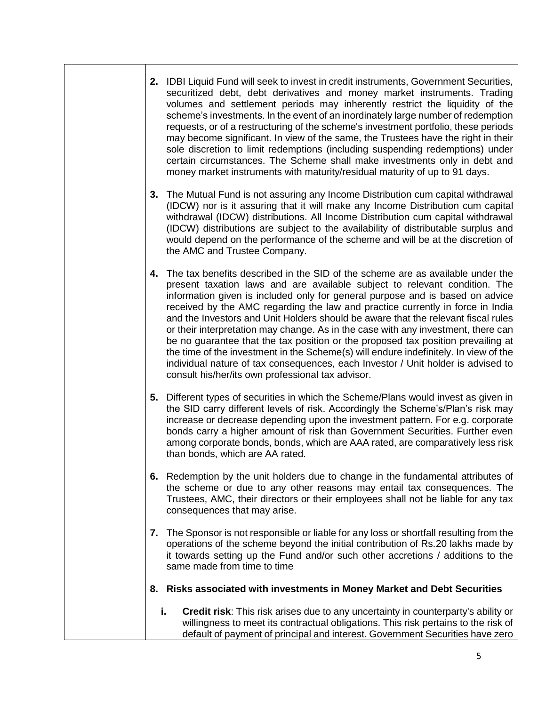| 2. IDBI Liquid Fund will seek to invest in credit instruments, Government Securities,<br>securitized debt, debt derivatives and money market instruments. Trading<br>volumes and settlement periods may inherently restrict the liquidity of the<br>scheme's investments. In the event of an inordinately large number of redemption<br>requests, or of a restructuring of the scheme's investment portfolio, these periods<br>may become significant. In view of the same, the Trustees have the right in their<br>sole discretion to limit redemptions (including suspending redemptions) under<br>certain circumstances. The Scheme shall make investments only in debt and<br>money market instruments with maturity/residual maturity of up to 91 days.                                                                         |
|--------------------------------------------------------------------------------------------------------------------------------------------------------------------------------------------------------------------------------------------------------------------------------------------------------------------------------------------------------------------------------------------------------------------------------------------------------------------------------------------------------------------------------------------------------------------------------------------------------------------------------------------------------------------------------------------------------------------------------------------------------------------------------------------------------------------------------------|
| 3. The Mutual Fund is not assuring any Income Distribution cum capital withdrawal<br>(IDCW) nor is it assuring that it will make any Income Distribution cum capital<br>withdrawal (IDCW) distributions. All Income Distribution cum capital withdrawal<br>(IDCW) distributions are subject to the availability of distributable surplus and<br>would depend on the performance of the scheme and will be at the discretion of<br>the AMC and Trustee Company.                                                                                                                                                                                                                                                                                                                                                                       |
| The tax benefits described in the SID of the scheme are as available under the<br>4.<br>present taxation laws and are available subject to relevant condition. The<br>information given is included only for general purpose and is based on advice<br>received by the AMC regarding the law and practice currently in force in India<br>and the Investors and Unit Holders should be aware that the relevant fiscal rules<br>or their interpretation may change. As in the case with any investment, there can<br>be no guarantee that the tax position or the proposed tax position prevailing at<br>the time of the investment in the Scheme(s) will endure indefinitely. In view of the<br>individual nature of tax consequences, each Investor / Unit holder is advised to<br>consult his/her/its own professional tax advisor. |
| 5. Different types of securities in which the Scheme/Plans would invest as given in<br>the SID carry different levels of risk. Accordingly the Scheme's/Plan's risk may<br>increase or decrease depending upon the investment pattern. For e.g. corporate<br>bonds carry a higher amount of risk than Government Securities. Further even<br>among corporate bonds, bonds, which are AAA rated, are comparatively less risk<br>than bonds, which are AA rated.                                                                                                                                                                                                                                                                                                                                                                       |
| 6. Redemption by the unit holders due to change in the fundamental attributes of<br>the scheme or due to any other reasons may entail tax consequences. The<br>Trustees, AMC, their directors or their employees shall not be liable for any tax<br>consequences that may arise.                                                                                                                                                                                                                                                                                                                                                                                                                                                                                                                                                     |
| The Sponsor is not responsible or liable for any loss or shortfall resulting from the<br>7.<br>operations of the scheme beyond the initial contribution of Rs.20 lakhs made by<br>it towards setting up the Fund and/or such other accretions / additions to the<br>same made from time to time                                                                                                                                                                                                                                                                                                                                                                                                                                                                                                                                      |
| Risks associated with investments in Money Market and Debt Securities<br>8.                                                                                                                                                                                                                                                                                                                                                                                                                                                                                                                                                                                                                                                                                                                                                          |
| i.<br><b>Credit risk:</b> This risk arises due to any uncertainty in counterparty's ability or<br>willingness to meet its contractual obligations. This risk pertains to the risk of<br>default of payment of principal and interest. Government Securities have zero                                                                                                                                                                                                                                                                                                                                                                                                                                                                                                                                                                |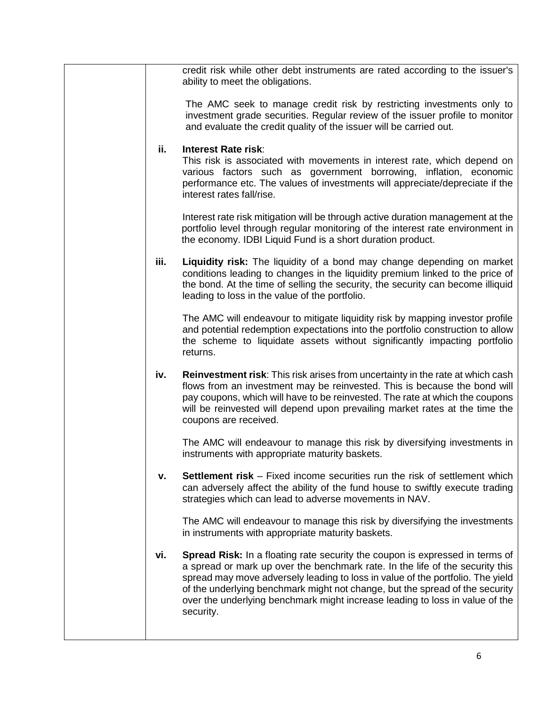|      | credit risk while other debt instruments are rated according to the issuer's<br>ability to meet the obligations.                                                                                                                                                                                                                                                                                                             |
|------|------------------------------------------------------------------------------------------------------------------------------------------------------------------------------------------------------------------------------------------------------------------------------------------------------------------------------------------------------------------------------------------------------------------------------|
|      | The AMC seek to manage credit risk by restricting investments only to<br>investment grade securities. Regular review of the issuer profile to monitor<br>and evaluate the credit quality of the issuer will be carried out.                                                                                                                                                                                                  |
| ii.  | Interest Rate risk:<br>This risk is associated with movements in interest rate, which depend on<br>various factors such as government borrowing, inflation, economic<br>performance etc. The values of investments will appreciate/depreciate if the<br>interest rates fall/rise.                                                                                                                                            |
|      | Interest rate risk mitigation will be through active duration management at the<br>portfolio level through regular monitoring of the interest rate environment in<br>the economy. IDBI Liquid Fund is a short duration product.                                                                                                                                                                                              |
| iii. | <b>Liquidity risk:</b> The liquidity of a bond may change depending on market<br>conditions leading to changes in the liquidity premium linked to the price of<br>the bond. At the time of selling the security, the security can become illiquid<br>leading to loss in the value of the portfolio.                                                                                                                          |
|      | The AMC will endeavour to mitigate liquidity risk by mapping investor profile<br>and potential redemption expectations into the portfolio construction to allow<br>the scheme to liquidate assets without significantly impacting portfolio<br>returns.                                                                                                                                                                      |
| iv.  | Reinvestment risk: This risk arises from uncertainty in the rate at which cash<br>flows from an investment may be reinvested. This is because the bond will<br>pay coupons, which will have to be reinvested. The rate at which the coupons<br>will be reinvested will depend upon prevailing market rates at the time the<br>coupons are received.                                                                          |
|      | The AMC will endeavour to manage this risk by diversifying investments in<br>instruments with appropriate maturity baskets.                                                                                                                                                                                                                                                                                                  |
| v.   | <b>Settlement risk</b> – Fixed income securities run the risk of settlement which<br>can adversely affect the ability of the fund house to swiftly execute trading<br>strategies which can lead to adverse movements in NAV.                                                                                                                                                                                                 |
|      | The AMC will endeavour to manage this risk by diversifying the investments<br>in instruments with appropriate maturity baskets.                                                                                                                                                                                                                                                                                              |
| vi.  | Spread Risk: In a floating rate security the coupon is expressed in terms of<br>a spread or mark up over the benchmark rate. In the life of the security this<br>spread may move adversely leading to loss in value of the portfolio. The yield<br>of the underlying benchmark might not change, but the spread of the security<br>over the underlying benchmark might increase leading to loss in value of the<br>security. |
|      |                                                                                                                                                                                                                                                                                                                                                                                                                              |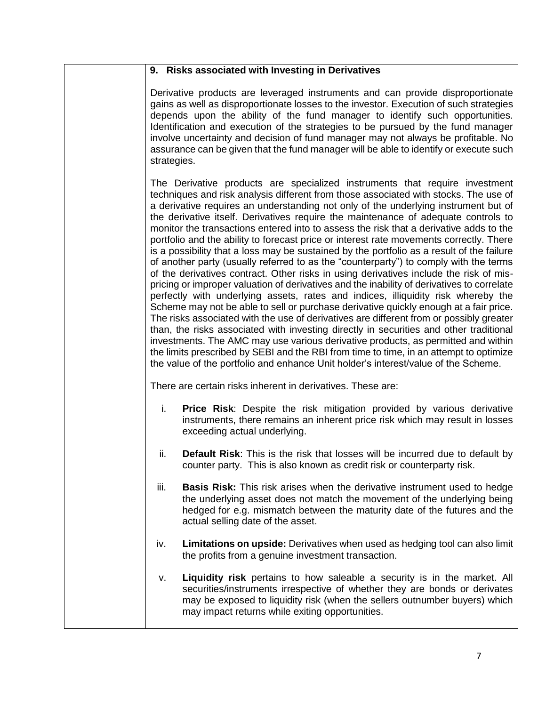### **9. Risks associated with Investing in Derivatives**

Derivative products are leveraged instruments and can provide disproportionate gains as well as disproportionate losses to the investor. Execution of such strategies depends upon the ability of the fund manager to identify such opportunities. Identification and execution of the strategies to be pursued by the fund manager involve uncertainty and decision of fund manager may not always be profitable. No assurance can be given that the fund manager will be able to identify or execute such strategies.

The Derivative products are specialized instruments that require investment techniques and risk analysis different from those associated with stocks. The use of a derivative requires an understanding not only of the underlying instrument but of the derivative itself. Derivatives require the maintenance of adequate controls to monitor the transactions entered into to assess the risk that a derivative adds to the portfolio and the ability to forecast price or interest rate movements correctly. There is a possibility that a loss may be sustained by the portfolio as a result of the failure of another party (usually referred to as the "counterparty") to comply with the terms of the derivatives contract. Other risks in using derivatives include the risk of mispricing or improper valuation of derivatives and the inability of derivatives to correlate perfectly with underlying assets, rates and indices, illiquidity risk whereby the Scheme may not be able to sell or purchase derivative quickly enough at a fair price. The risks associated with the use of derivatives are different from or possibly greater than, the risks associated with investing directly in securities and other traditional investments. The AMC may use various derivative products, as permitted and within the limits prescribed by SEBI and the RBI from time to time, in an attempt to optimize the value of the portfolio and enhance Unit holder's interest/value of the Scheme.

There are certain risks inherent in derivatives. These are:

- i. **Price Risk**: Despite the risk mitigation provided by various derivative instruments, there remains an inherent price risk which may result in losses exceeding actual underlying.
- ii. **Default Risk**: This is the risk that losses will be incurred due to default by counter party. This is also known as credit risk or counterparty risk.
- iii. **Basis Risk:** This risk arises when the derivative instrument used to hedge the underlying asset does not match the movement of the underlying being hedged for e.g. mismatch between the maturity date of the futures and the actual selling date of the asset.
- iv. **Limitations on upside:** Derivatives when used as hedging tool can also limit the profits from a genuine investment transaction.
- v. **Liquidity risk** pertains to how saleable a security is in the market. All securities/instruments irrespective of whether they are bonds or derivates may be exposed to liquidity risk (when the sellers outnumber buyers) which may impact returns while exiting opportunities.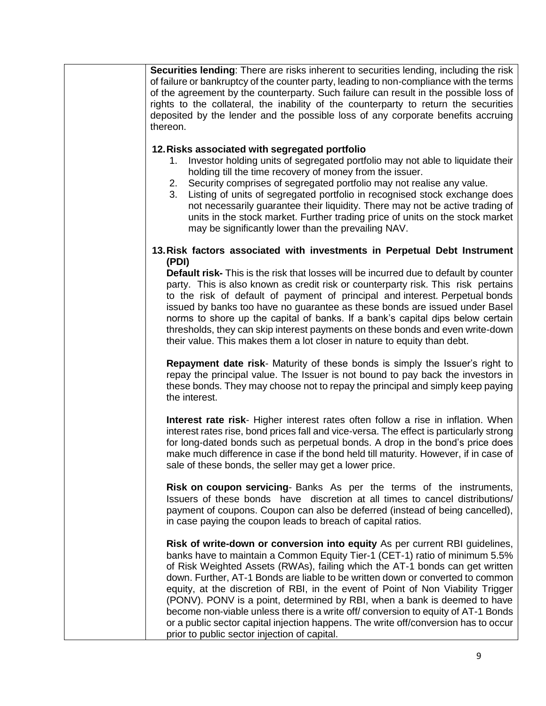| Securities lending: There are risks inherent to securities lending, including the risk<br>of failure or bankruptcy of the counter party, leading to non-compliance with the terms<br>of the agreement by the counterparty. Such failure can result in the possible loss of<br>rights to the collateral, the inability of the counterparty to return the securities<br>deposited by the lender and the possible loss of any corporate benefits accruing<br>thereon.                                                                                                                                                                                                                                                        |
|---------------------------------------------------------------------------------------------------------------------------------------------------------------------------------------------------------------------------------------------------------------------------------------------------------------------------------------------------------------------------------------------------------------------------------------------------------------------------------------------------------------------------------------------------------------------------------------------------------------------------------------------------------------------------------------------------------------------------|
| 12. Risks associated with segregated portfolio                                                                                                                                                                                                                                                                                                                                                                                                                                                                                                                                                                                                                                                                            |
| Investor holding units of segregated portfolio may not able to liquidate their<br>1.<br>holding till the time recovery of money from the issuer.<br>Security comprises of segregated portfolio may not realise any value.<br>2.<br>Listing of units of segregated portfolio in recognised stock exchange does<br>3.<br>not necessarily guarantee their liquidity. There may not be active trading of<br>units in the stock market. Further trading price of units on the stock market<br>may be significantly lower than the prevailing NAV.                                                                                                                                                                              |
| 13. Risk factors associated with investments in Perpetual Debt Instrument<br>(PDI)                                                                                                                                                                                                                                                                                                                                                                                                                                                                                                                                                                                                                                        |
| <b>Default risk-</b> This is the risk that losses will be incurred due to default by counter<br>party. This is also known as credit risk or counterparty risk. This risk pertains<br>to the risk of default of payment of principal and interest. Perpetual bonds<br>issued by banks too have no guarantee as these bonds are issued under Basel<br>norms to shore up the capital of banks. If a bank's capital dips below certain<br>thresholds, they can skip interest payments on these bonds and even write-down<br>their value. This makes them a lot closer in nature to equity than debt.                                                                                                                          |
| <b>Repayment date risk-</b> Maturity of these bonds is simply the Issuer's right to<br>repay the principal value. The Issuer is not bound to pay back the investors in<br>these bonds. They may choose not to repay the principal and simply keep paying<br>the interest.                                                                                                                                                                                                                                                                                                                                                                                                                                                 |
| <b>Interest rate risk-</b> Higher interest rates often follow a rise in inflation. When<br>interest rates rise, bond prices fall and vice-versa. The effect is particularly strong<br>for long-dated bonds such as perpetual bonds. A drop in the bond's price does<br>make much difference in case if the bond held till maturity. However, if in case of<br>sale of these bonds, the seller may get a lower price.                                                                                                                                                                                                                                                                                                      |
| <b>Risk on coupon servicing-</b> Banks As per the terms of the instruments,<br>Issuers of these bonds have discretion at all times to cancel distributions/<br>payment of coupons. Coupon can also be deferred (instead of being cancelled),<br>in case paying the coupon leads to breach of capital ratios.                                                                                                                                                                                                                                                                                                                                                                                                              |
| Risk of write-down or conversion into equity As per current RBI guidelines,<br>banks have to maintain a Common Equity Tier-1 (CET-1) ratio of minimum 5.5%<br>of Risk Weighted Assets (RWAs), failing which the AT-1 bonds can get written<br>down. Further, AT-1 Bonds are liable to be written down or converted to common<br>equity, at the discretion of RBI, in the event of Point of Non Viability Trigger<br>(PONV). PONV is a point, determined by RBI, when a bank is deemed to have<br>become non-viable unless there is a write off/ conversion to equity of AT-1 Bonds<br>or a public sector capital injection happens. The write off/conversion has to occur<br>prior to public sector injection of capital. |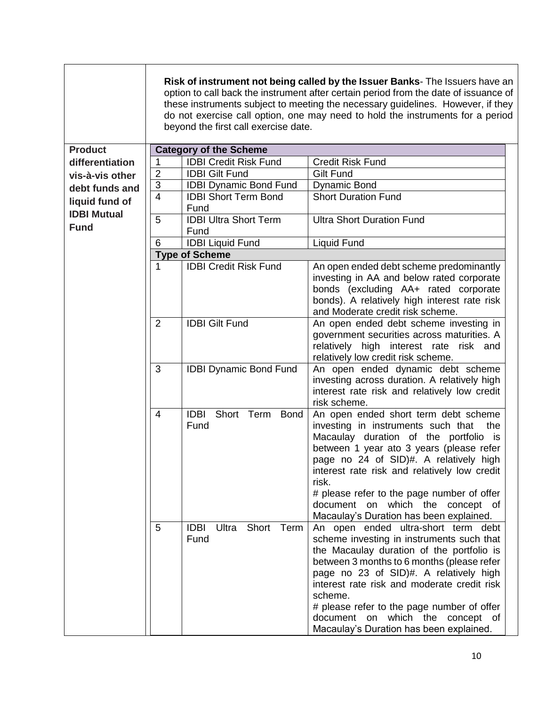|                                      |                | beyond the first call exercise date.             | Risk of instrument not being called by the Issuer Banks- The Issuers have an<br>option to call back the instrument after certain period from the date of issuance of<br>these instruments subject to meeting the necessary guidelines. However, if they<br>do not exercise call option, one may need to hold the instruments for a period                                                                    |
|--------------------------------------|----------------|--------------------------------------------------|--------------------------------------------------------------------------------------------------------------------------------------------------------------------------------------------------------------------------------------------------------------------------------------------------------------------------------------------------------------------------------------------------------------|
| <b>Product</b>                       |                | <b>Category of the Scheme</b>                    |                                                                                                                                                                                                                                                                                                                                                                                                              |
| differentiation                      | 1              | <b>IDBI Credit Risk Fund</b>                     | <b>Credit Risk Fund</b>                                                                                                                                                                                                                                                                                                                                                                                      |
| vis-à-vis other                      | $\overline{2}$ | <b>IDBI Gilt Fund</b>                            | <b>Gilt Fund</b>                                                                                                                                                                                                                                                                                                                                                                                             |
| debt funds and                       | 3              | <b>IDBI Dynamic Bond Fund</b>                    | <b>Dynamic Bond</b>                                                                                                                                                                                                                                                                                                                                                                                          |
| liquid fund of<br><b>IDBI Mutual</b> | $\overline{4}$ | <b>IDBI Short Term Bond</b><br>Fund              | <b>Short Duration Fund</b>                                                                                                                                                                                                                                                                                                                                                                                   |
| <b>Fund</b>                          | 5              | <b>IDBI Ultra Short Term</b><br>Fund             | <b>Ultra Short Duration Fund</b>                                                                                                                                                                                                                                                                                                                                                                             |
|                                      | 6              | <b>IDBI Liquid Fund</b>                          | Liquid Fund                                                                                                                                                                                                                                                                                                                                                                                                  |
|                                      |                | <b>Type of Scheme</b>                            |                                                                                                                                                                                                                                                                                                                                                                                                              |
|                                      | 1              | <b>IDBI Credit Risk Fund</b>                     | An open ended debt scheme predominantly<br>investing in AA and below rated corporate<br>bonds (excluding AA+ rated corporate<br>bonds). A relatively high interest rate risk<br>and Moderate credit risk scheme.                                                                                                                                                                                             |
|                                      | $\overline{2}$ | <b>IDBI Gilt Fund</b>                            | An open ended debt scheme investing in<br>government securities across maturities. A<br>high interest rate risk and<br>relatively<br>relatively low credit risk scheme.                                                                                                                                                                                                                                      |
|                                      | 3              | <b>IDBI Dynamic Bond Fund</b>                    | An open ended dynamic debt scheme<br>investing across duration. A relatively high<br>interest rate risk and relatively low credit<br>risk scheme.                                                                                                                                                                                                                                                            |
|                                      | $\overline{4}$ | <b>IDBI</b><br><b>Bond</b><br>Short Term<br>Fund | An open ended short term debt scheme<br>investing in instruments such that<br>the<br>Macaulay duration of the portfolio is<br>between 1 year ato 3 years (please refer<br>page no 24 of SID)#. A relatively high<br>interest rate risk and relatively low credit<br>risk.<br># please refer to the page number of offer<br>document on which the concept of<br>Macaulay's Duration has been explained.       |
|                                      | 5              | <b>IDBI</b><br>Short Term<br>Ultra<br>Fund       | An open ended ultra-short term debt<br>scheme investing in instruments such that<br>the Macaulay duration of the portfolio is<br>between 3 months to 6 months (please refer<br>page no 23 of SID)#. A relatively high<br>interest rate risk and moderate credit risk<br>scheme.<br># please refer to the page number of offer<br>document on which the concept of<br>Macaulay's Duration has been explained. |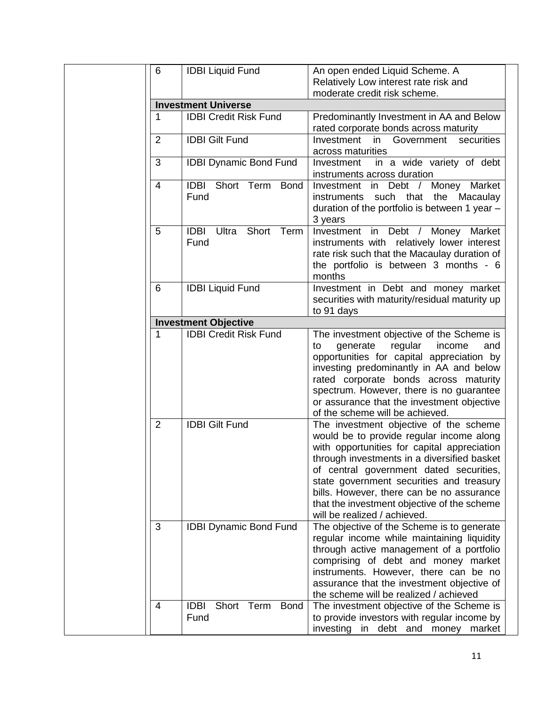| 6              | <b>IDBI Liquid Fund</b>                          | An open ended Liquid Scheme. A                                                                                                                                                                                                                                                                                                                                                                      |
|----------------|--------------------------------------------------|-----------------------------------------------------------------------------------------------------------------------------------------------------------------------------------------------------------------------------------------------------------------------------------------------------------------------------------------------------------------------------------------------------|
|                |                                                  | Relatively Low interest rate risk and                                                                                                                                                                                                                                                                                                                                                               |
|                |                                                  | moderate credit risk scheme.                                                                                                                                                                                                                                                                                                                                                                        |
|                | <b>Investment Universe</b>                       |                                                                                                                                                                                                                                                                                                                                                                                                     |
| 1              | <b>IDBI Credit Risk Fund</b>                     | Predominantly Investment in AA and Below                                                                                                                                                                                                                                                                                                                                                            |
|                |                                                  | rated corporate bonds across maturity                                                                                                                                                                                                                                                                                                                                                               |
| $\overline{2}$ | <b>IDBI Gilt Fund</b>                            | Investment<br>securities<br>Government<br>in.                                                                                                                                                                                                                                                                                                                                                       |
|                |                                                  | across maturities                                                                                                                                                                                                                                                                                                                                                                                   |
| 3              | <b>IDBI Dynamic Bond Fund</b>                    | in a wide variety of debt<br>Investment<br>instruments across duration                                                                                                                                                                                                                                                                                                                              |
| 4              | <b>IDBI</b> Short Term Bond<br>Fund              | Investment in Debt / Money Market<br>such that the Macaulay<br>instruments<br>duration of the portfolio is between 1 year -<br>3 years                                                                                                                                                                                                                                                              |
| 5              | Ultra Short Term<br><b>IDBI</b><br>Fund          | Investment in Debt / Money Market<br>instruments with relatively lower interest<br>rate risk such that the Macaulay duration of<br>the portfolio is between 3 months - 6<br>months                                                                                                                                                                                                                  |
| 6              | <b>IDBI Liquid Fund</b>                          | Investment in Debt and money market<br>securities with maturity/residual maturity up<br>to 91 days                                                                                                                                                                                                                                                                                                  |
|                | <b>Investment Objective</b>                      |                                                                                                                                                                                                                                                                                                                                                                                                     |
| 1              | <b>IDBI Credit Risk Fund</b>                     | The investment objective of the Scheme is<br>regular<br>generate<br>income<br>and<br>to<br>opportunities for capital appreciation by<br>investing predominantly in AA and below<br>rated corporate bonds across maturity                                                                                                                                                                            |
|                |                                                  | spectrum. However, there is no guarantee<br>or assurance that the investment objective<br>of the scheme will be achieved.                                                                                                                                                                                                                                                                           |
| $\overline{2}$ | <b>IDBI Gilt Fund</b>                            | The investment objective of the scheme<br>would be to provide regular income along<br>with opportunities for capital appreciation<br>through investments in a diversified basket<br>of central government dated securities,<br>state government securities and treasury<br>bills. However, there can be no assurance<br>that the investment objective of the scheme<br>will be realized / achieved. |
| 3              | <b>IDBI Dynamic Bond Fund</b>                    | The objective of the Scheme is to generate<br>regular income while maintaining liquidity<br>through active management of a portfolio<br>comprising of debt and money market<br>instruments. However, there can be no<br>assurance that the investment objective of<br>the scheme will be realized / achieved                                                                                        |
| 4              | <b>IDBI</b><br>Short Term<br><b>Bond</b><br>Fund | The investment objective of the Scheme is<br>to provide investors with regular income by<br>investing in debt and money market                                                                                                                                                                                                                                                                      |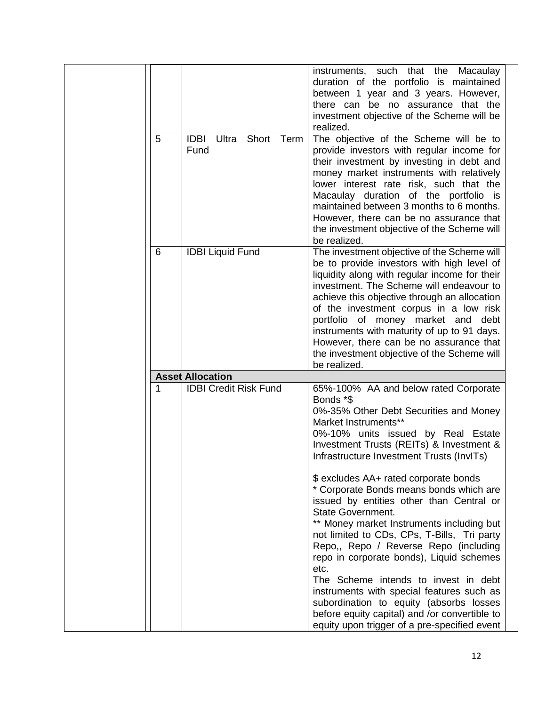|   |                                               | instruments, such that the Macaulay<br>duration of the portfolio is maintained            |
|---|-----------------------------------------------|-------------------------------------------------------------------------------------------|
|   |                                               | between 1 year and 3 years. However,                                                      |
|   |                                               | there can be no assurance that the                                                        |
|   |                                               | investment objective of the Scheme will be                                                |
|   |                                               | realized.                                                                                 |
| 5 | <b>IDBI</b><br>Short<br>Ultra<br>Term<br>Fund | The objective of the Scheme will be to                                                    |
|   |                                               | provide investors with regular income for<br>their investment by investing in debt and    |
|   |                                               | money market instruments with relatively                                                  |
|   |                                               | lower interest rate risk, such that the                                                   |
|   |                                               | Macaulay duration of the portfolio is                                                     |
|   |                                               | maintained between 3 months to 6 months.                                                  |
|   |                                               | However, there can be no assurance that                                                   |
|   |                                               | the investment objective of the Scheme will                                               |
|   |                                               | be realized.                                                                              |
| 6 | <b>IDBI Liquid Fund</b>                       | The investment objective of the Scheme will<br>be to provide investors with high level of |
|   |                                               | liquidity along with regular income for their                                             |
|   |                                               | investment. The Scheme will endeavour to                                                  |
|   |                                               | achieve this objective through an allocation                                              |
|   |                                               | of the investment corpus in a low risk                                                    |
|   |                                               | portfolio of money market and<br>debt                                                     |
|   |                                               | instruments with maturity of up to 91 days.                                               |
|   |                                               | However, there can be no assurance that                                                   |
|   |                                               | the investment objective of the Scheme will<br>be realized.                               |
|   | <b>Asset Allocation</b>                       |                                                                                           |
| 1 | <b>IDBI Credit Risk Fund</b>                  | 65%-100% AA and below rated Corporate                                                     |
|   |                                               | Bonds *\$                                                                                 |
|   |                                               | 0%-35% Other Debt Securities and Money                                                    |
|   |                                               | Market Instruments**                                                                      |
|   |                                               | 0%-10% units issued by Real Estate<br>Investment Trusts (REITs) & Investment &            |
|   |                                               | Infrastructure Investment Trusts (InvITs)                                                 |
|   |                                               |                                                                                           |
|   |                                               | \$ excludes AA+ rated corporate bonds                                                     |
|   |                                               | * Corporate Bonds means bonds which are                                                   |
|   |                                               | issued by entities other than Central or                                                  |
|   |                                               | <b>State Government.</b>                                                                  |
|   |                                               | ** Money market Instruments including but                                                 |
|   |                                               | not limited to CDs, CPs, T-Bills, Tri party<br>Repo,, Repo / Reverse Repo (including      |
|   |                                               | repo in corporate bonds), Liquid schemes                                                  |
|   |                                               | etc.                                                                                      |
|   |                                               | The Scheme intends to invest in debt                                                      |
|   |                                               | instruments with special features such as                                                 |
|   |                                               | subordination to equity (absorbs losses                                                   |
|   |                                               | before equity capital) and /or convertible to                                             |
|   |                                               | equity upon trigger of a pre-specified event                                              |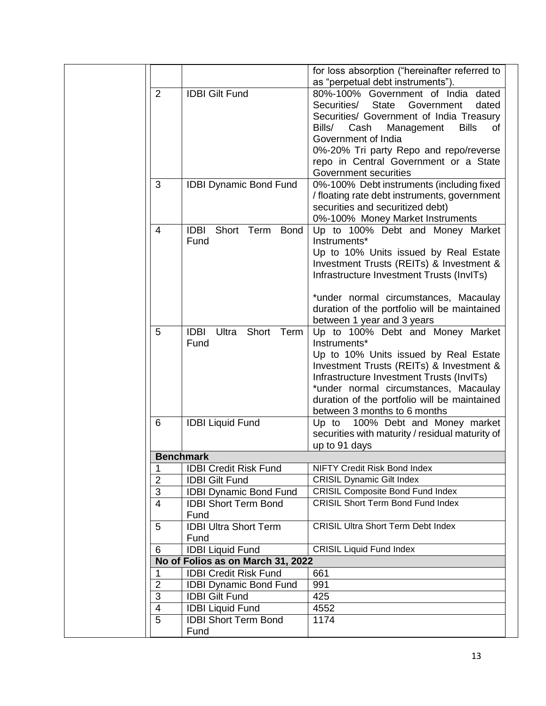|                     |                                   | for loss absorption ("hereinafter referred to                                         |
|---------------------|-----------------------------------|---------------------------------------------------------------------------------------|
|                     |                                   | as "perpetual debt instruments").                                                     |
| $\overline{2}$      | <b>IDBI Gilt Fund</b>             | 80%-100% Government of India dated                                                    |
|                     |                                   | <b>State</b><br>Government<br>Securities/<br>dated                                    |
|                     |                                   | Securities/ Government of India Treasury                                              |
|                     |                                   | Bills/<br>Cash<br>Management<br><b>Bills</b><br>of<br>Government of India             |
|                     |                                   |                                                                                       |
|                     |                                   | 0%-20% Tri party Repo and repo/reverse<br>repo in Central Government or a State       |
|                     |                                   | Government securities                                                                 |
| 3                   | <b>IDBI Dynamic Bond Fund</b>     | 0%-100% Debt instruments (including fixed                                             |
|                     |                                   | / floating rate debt instruments, government                                          |
|                     |                                   | securities and securitized debt)                                                      |
|                     |                                   | 0%-100% Money Market Instruments                                                      |
| 4                   | <b>IDBI</b> Short Term Bond       | Up to 100% Debt and Money Market                                                      |
|                     | Fund                              | Instruments*                                                                          |
|                     |                                   | Up to 10% Units issued by Real Estate                                                 |
|                     |                                   | Investment Trusts (REITs) & Investment &                                              |
|                     |                                   | Infrastructure Investment Trusts (InvITs)                                             |
|                     |                                   | *under normal circumstances, Macaulay                                                 |
|                     |                                   | duration of the portfolio will be maintained                                          |
|                     |                                   | between 1 year and 3 years                                                            |
| 5                   | <b>IDBI</b><br>Ultra Short Term   | Up to 100% Debt and Money Market                                                      |
|                     | Fund                              | Instruments*                                                                          |
|                     |                                   | Up to 10% Units issued by Real Estate                                                 |
|                     |                                   | Investment Trusts (REITs) & Investment &                                              |
|                     |                                   | Infrastructure Investment Trusts (InvITs)                                             |
|                     |                                   | *under normal circumstances, Macaulay<br>duration of the portfolio will be maintained |
|                     |                                   | between 3 months to 6 months                                                          |
| 6                   | <b>IDBI Liquid Fund</b>           | Up to 100% Debt and Money market                                                      |
|                     |                                   | securities with maturity / residual maturity of                                       |
|                     |                                   | up to 91 days                                                                         |
|                     | <b>Benchmark</b>                  |                                                                                       |
| 1                   | <b>IDBI Credit Risk Fund</b>      | <b>NIFTY Credit Risk Bond Index</b>                                                   |
| 2                   | <b>IDBI Gilt Fund</b>             | <b>CRISIL Dynamic Gilt Index</b>                                                      |
| 3                   | <b>IDBI Dynamic Bond Fund</b>     | <b>CRISIL Composite Bond Fund Index</b>                                               |
| $\overline{4}$      | <b>IDBI Short Term Bond</b>       | <b>CRISIL Short Term Bond Fund Index</b>                                              |
|                     | Fund                              |                                                                                       |
| 5                   | <b>IDBI Ultra Short Term</b>      | <b>CRISIL Ultra Short Term Debt Index</b>                                             |
|                     | Fund                              |                                                                                       |
| 6                   | <b>IDBI Liquid Fund</b>           | <b>CRISIL Liquid Fund Index</b>                                                       |
|                     | No of Folios as on March 31, 2022 |                                                                                       |
| 1                   | <b>IDBI Credit Risk Fund</b>      | 661                                                                                   |
| $\overline{2}$      | <b>IDBI Dynamic Bond Fund</b>     | 991                                                                                   |
| $\overline{3}$      | <b>IDBI Gilt Fund</b>             | 425                                                                                   |
| 4<br>$\overline{5}$ | <b>IDBI Liquid Fund</b>           | 4552                                                                                  |
|                     | <b>IDBI Short Term Bond</b>       | 1174                                                                                  |
|                     | Fund                              |                                                                                       |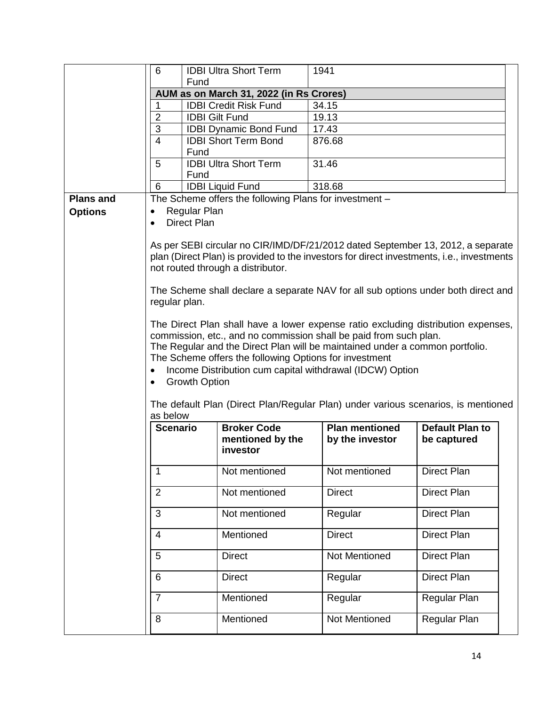|                  | 6                         | <b>IDBI Ultra Short Term</b>                                                              | 1941                                                   |                        |  |
|------------------|---------------------------|-------------------------------------------------------------------------------------------|--------------------------------------------------------|------------------------|--|
|                  |                           | Fund                                                                                      |                                                        |                        |  |
|                  |                           | AUM as on March 31, 2022 (in Rs Crores)                                                   |                                                        |                        |  |
|                  | 1                         | <b>IDBI Credit Risk Fund</b>                                                              | 34.15                                                  |                        |  |
|                  | $\overline{2}$            | <b>IDBI Gilt Fund</b>                                                                     | 19.13                                                  |                        |  |
|                  | $\ensuremath{\mathsf{3}}$ | <b>IDBI Dynamic Bond Fund</b>                                                             | 17.43                                                  |                        |  |
|                  | $\overline{4}$            | <b>IDBI Short Term Bond</b>                                                               | 876.68                                                 |                        |  |
|                  |                           | Fund                                                                                      |                                                        |                        |  |
|                  | 5                         | <b>IDBI Ultra Short Term</b>                                                              | 31.46                                                  |                        |  |
|                  |                           | Fund                                                                                      |                                                        |                        |  |
|                  | 6                         | <b>IDBI Liquid Fund</b>                                                                   | 318.68                                                 |                        |  |
| <b>Plans and</b> |                           | The Scheme offers the following Plans for investment -                                    |                                                        |                        |  |
| <b>Options</b>   |                           | <b>Regular Plan</b>                                                                       |                                                        |                        |  |
|                  | $\bullet$                 | <b>Direct Plan</b>                                                                        |                                                        |                        |  |
|                  |                           |                                                                                           |                                                        |                        |  |
|                  |                           | As per SEBI circular no CIR/IMD/DF/21/2012 dated September 13, 2012, a separate           |                                                        |                        |  |
|                  |                           | plan (Direct Plan) is provided to the investors for direct investments, i.e., investments |                                                        |                        |  |
|                  |                           | not routed through a distributor.                                                         |                                                        |                        |  |
|                  |                           |                                                                                           |                                                        |                        |  |
|                  |                           | The Scheme shall declare a separate NAV for all sub options under both direct and         |                                                        |                        |  |
|                  | regular plan.             |                                                                                           |                                                        |                        |  |
|                  |                           |                                                                                           |                                                        |                        |  |
|                  |                           | The Direct Plan shall have a lower expense ratio excluding distribution expenses,         |                                                        |                        |  |
|                  |                           | commission, etc., and no commission shall be paid from such plan.                         |                                                        |                        |  |
|                  |                           | The Regular and the Direct Plan will be maintained under a common portfolio.              |                                                        |                        |  |
|                  |                           |                                                                                           |                                                        |                        |  |
|                  |                           |                                                                                           | The Scheme offers the following Options for investment |                        |  |
|                  |                           | Income Distribution cum capital withdrawal (IDCW) Option                                  |                                                        |                        |  |
|                  | $\bullet$                 | <b>Growth Option</b>                                                                      |                                                        |                        |  |
|                  |                           |                                                                                           |                                                        |                        |  |
|                  |                           | The default Plan (Direct Plan/Regular Plan) under various scenarios, is mentioned         |                                                        |                        |  |
|                  | as below                  |                                                                                           |                                                        |                        |  |
|                  | <b>Scenario</b>           | <b>Broker Code</b>                                                                        | <b>Plan mentioned</b>                                  | <b>Default Plan to</b> |  |
|                  |                           | mentioned by the                                                                          | by the investor                                        | be captured            |  |
|                  |                           | investor                                                                                  |                                                        |                        |  |
|                  |                           |                                                                                           |                                                        |                        |  |
|                  | 1                         | Not mentioned                                                                             | Not mentioned                                          | Direct Plan            |  |
|                  |                           |                                                                                           |                                                        |                        |  |
|                  | $\overline{2}$            | Not mentioned                                                                             | <b>Direct</b>                                          | Direct Plan            |  |
|                  |                           |                                                                                           |                                                        |                        |  |
|                  | 3                         | Not mentioned                                                                             | Regular                                                | Direct Plan            |  |
|                  | $\overline{4}$            | Mentioned                                                                                 | <b>Direct</b>                                          | Direct Plan            |  |
|                  |                           |                                                                                           |                                                        |                        |  |
|                  | 5                         | <b>Direct</b>                                                                             | Not Mentioned                                          | Direct Plan            |  |
|                  |                           |                                                                                           |                                                        |                        |  |
|                  | 6                         | <b>Direct</b>                                                                             | Regular                                                | Direct Plan            |  |
|                  |                           |                                                                                           |                                                        |                        |  |
|                  | $\overline{7}$            | Mentioned                                                                                 | Regular                                                | Regular Plan           |  |
|                  | $\,8\,$                   | Mentioned                                                                                 | Not Mentioned                                          | Regular Plan           |  |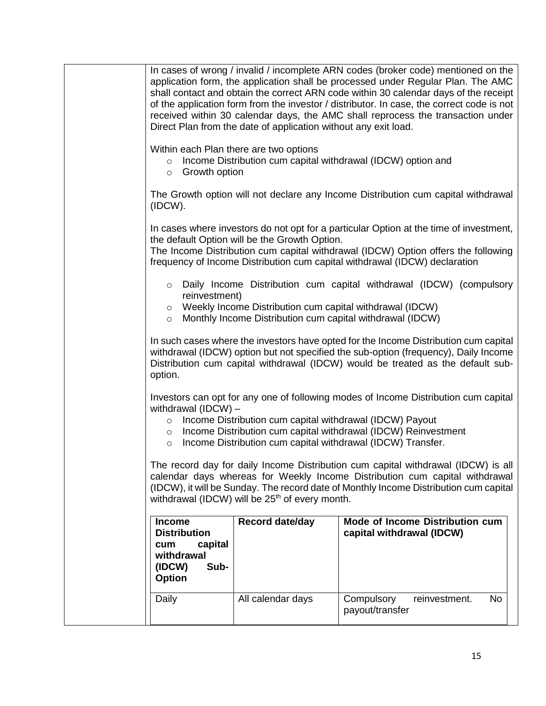|                                                                                                  | Direct Plan from the date of application without any exit load.                                                           | In cases of wrong / invalid / incomplete ARN codes (broker code) mentioned on the<br>application form, the application shall be processed under Regular Plan. The AMC<br>shall contact and obtain the correct ARN code within 30 calendar days of the receipt<br>of the application form from the investor / distributor. In case, the correct code is not<br>received within 30 calendar days, the AMC shall reprocess the transaction under |
|--------------------------------------------------------------------------------------------------|---------------------------------------------------------------------------------------------------------------------------|-----------------------------------------------------------------------------------------------------------------------------------------------------------------------------------------------------------------------------------------------------------------------------------------------------------------------------------------------------------------------------------------------------------------------------------------------|
| $\circ$ Growth option                                                                            | Within each Plan there are two options                                                                                    | o Income Distribution cum capital withdrawal (IDCW) option and                                                                                                                                                                                                                                                                                                                                                                                |
| (IDCW).                                                                                          |                                                                                                                           | The Growth option will not declare any Income Distribution cum capital withdrawal                                                                                                                                                                                                                                                                                                                                                             |
|                                                                                                  | the default Option will be the Growth Option.                                                                             | In cases where investors do not opt for a particular Option at the time of investment,<br>The Income Distribution cum capital withdrawal (IDCW) Option offers the following<br>frequency of Income Distribution cum capital withdrawal (IDCW) declaration                                                                                                                                                                                     |
| reinvestment)                                                                                    | o Weekly Income Distribution cum capital withdrawal (IDCW)<br>o Monthly Income Distribution cum capital withdrawal (IDCW) | $\circ$ Daily Income Distribution cum capital withdrawal (IDCW) (compulsory                                                                                                                                                                                                                                                                                                                                                                   |
| option.                                                                                          |                                                                                                                           | In such cases where the investors have opted for the Income Distribution cum capital<br>withdrawal (IDCW) option but not specified the sub-option (frequency), Daily Income<br>Distribution cum capital withdrawal (IDCW) would be treated as the default sub-                                                                                                                                                                                |
| withdrawal $(IDCW)$ –<br>$\circ$<br>$\circ$<br>$\circ$                                           | Income Distribution cum capital withdrawal (IDCW) Payout                                                                  | Investors can opt for any one of following modes of Income Distribution cum capital<br>Income Distribution cum capital withdrawal (IDCW) Reinvestment<br>Income Distribution cum capital withdrawal (IDCW) Transfer.                                                                                                                                                                                                                          |
|                                                                                                  | withdrawal (IDCW) will be 25 <sup>th</sup> of every month.                                                                | The record day for daily Income Distribution cum capital withdrawal (IDCW) is all<br>calendar days whereas for Weekly Income Distribution cum capital withdrawal<br>(IDCW), it will be Sunday. The record date of Monthly Income Distribution cum capital                                                                                                                                                                                     |
| <b>Income</b><br><b>Distribution</b><br>capital<br>cum<br>withdrawal<br>(IDCW)<br>Sub-<br>Option | Record date/day                                                                                                           | Mode of Income Distribution cum<br>capital withdrawal (IDCW)                                                                                                                                                                                                                                                                                                                                                                                  |
| Daily                                                                                            | All calendar days                                                                                                         | Compulsory<br>reinvestment.<br>No.<br>payout/transfer                                                                                                                                                                                                                                                                                                                                                                                         |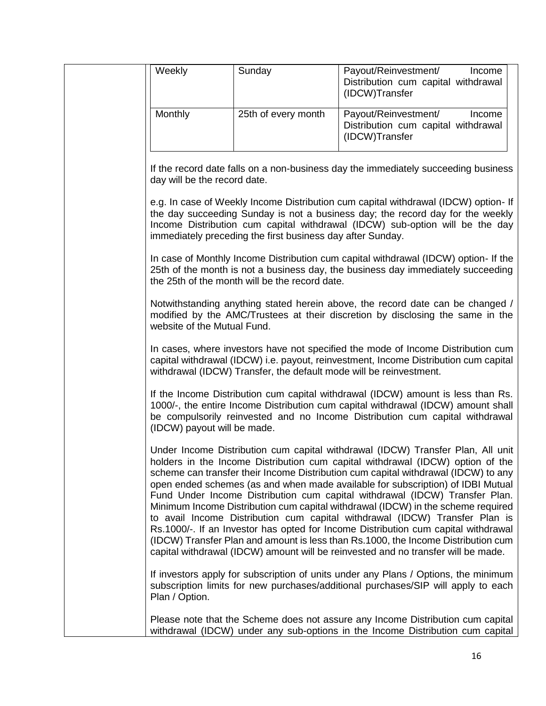| Weekly                       | Sunday                                                             | Payout/Reinvestment/<br>Income<br>Distribution cum capital withdrawal<br>(IDCW)Transfer                                                                                                                                                                                                                                                                                                                                                                                                                                                                                                                                                                                                                                                                                                                                                                      |
|------------------------------|--------------------------------------------------------------------|--------------------------------------------------------------------------------------------------------------------------------------------------------------------------------------------------------------------------------------------------------------------------------------------------------------------------------------------------------------------------------------------------------------------------------------------------------------------------------------------------------------------------------------------------------------------------------------------------------------------------------------------------------------------------------------------------------------------------------------------------------------------------------------------------------------------------------------------------------------|
| Monthly                      | 25th of every month                                                | Payout/Reinvestment/<br>Income<br>Distribution cum capital withdrawal<br>(IDCW)Transfer                                                                                                                                                                                                                                                                                                                                                                                                                                                                                                                                                                                                                                                                                                                                                                      |
| day will be the record date. |                                                                    | If the record date falls on a non-business day the immediately succeeding business                                                                                                                                                                                                                                                                                                                                                                                                                                                                                                                                                                                                                                                                                                                                                                           |
|                              | immediately preceding the first business day after Sunday.         | e.g. In case of Weekly Income Distribution cum capital withdrawal (IDCW) option- If<br>the day succeeding Sunday is not a business day; the record day for the weekly<br>Income Distribution cum capital withdrawal (IDCW) sub-option will be the day                                                                                                                                                                                                                                                                                                                                                                                                                                                                                                                                                                                                        |
|                              | the 25th of the month will be the record date.                     | In case of Monthly Income Distribution cum capital withdrawal (IDCW) option- If the<br>25th of the month is not a business day, the business day immediately succeeding                                                                                                                                                                                                                                                                                                                                                                                                                                                                                                                                                                                                                                                                                      |
| website of the Mutual Fund.  |                                                                    | Notwithstanding anything stated herein above, the record date can be changed /<br>modified by the AMC/Trustees at their discretion by disclosing the same in the                                                                                                                                                                                                                                                                                                                                                                                                                                                                                                                                                                                                                                                                                             |
|                              | withdrawal (IDCW) Transfer, the default mode will be reinvestment. | In cases, where investors have not specified the mode of Income Distribution cum<br>capital withdrawal (IDCW) i.e. payout, reinvestment, Income Distribution cum capital                                                                                                                                                                                                                                                                                                                                                                                                                                                                                                                                                                                                                                                                                     |
| (IDCW) payout will be made.  |                                                                    | If the Income Distribution cum capital withdrawal (IDCW) amount is less than Rs.<br>1000/-, the entire Income Distribution cum capital withdrawal (IDCW) amount shall<br>be compulsorily reinvested and no Income Distribution cum capital withdrawal                                                                                                                                                                                                                                                                                                                                                                                                                                                                                                                                                                                                        |
|                              |                                                                    | Under Income Distribution cum capital withdrawal (IDCW) Transfer Plan, All unit<br>holders in the Income Distribution cum capital withdrawal (IDCW) option of the<br>scheme can transfer their Income Distribution cum capital withdrawal (IDCW) to any<br>open ended schemes (as and when made available for subscription) of IDBI Mutual<br>Fund Under Income Distribution cum capital withdrawal (IDCW) Transfer Plan.<br>Minimum Income Distribution cum capital withdrawal (IDCW) in the scheme required<br>to avail Income Distribution cum capital withdrawal (IDCW) Transfer Plan is<br>Rs.1000/-. If an Investor has opted for Income Distribution cum capital withdrawal<br>(IDCW) Transfer Plan and amount is less than Rs.1000, the Income Distribution cum<br>capital withdrawal (IDCW) amount will be reinvested and no transfer will be made. |
| Plan / Option.               |                                                                    | If investors apply for subscription of units under any Plans / Options, the minimum<br>subscription limits for new purchases/additional purchases/SIP will apply to each                                                                                                                                                                                                                                                                                                                                                                                                                                                                                                                                                                                                                                                                                     |
|                              |                                                                    | Please note that the Scheme does not assure any Income Distribution cum capital<br>withdrawal (IDCW) under any sub-options in the Income Distribution cum capital                                                                                                                                                                                                                                                                                                                                                                                                                                                                                                                                                                                                                                                                                            |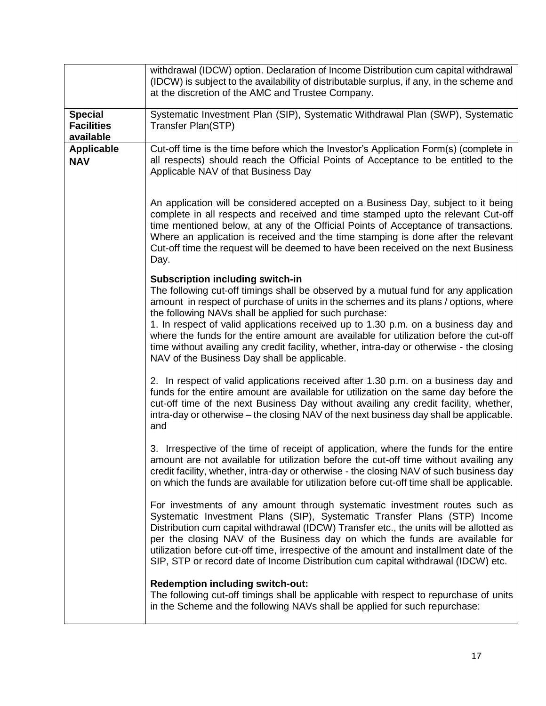|                                                  | withdrawal (IDCW) option. Declaration of Income Distribution cum capital withdrawal<br>(IDCW) is subject to the availability of distributable surplus, if any, in the scheme and<br>at the discretion of the AMC and Trustee Company.                                                                                                                                                                                                                                                                                                                                                                         |
|--------------------------------------------------|---------------------------------------------------------------------------------------------------------------------------------------------------------------------------------------------------------------------------------------------------------------------------------------------------------------------------------------------------------------------------------------------------------------------------------------------------------------------------------------------------------------------------------------------------------------------------------------------------------------|
| <b>Special</b><br><b>Facilities</b><br>available | Systematic Investment Plan (SIP), Systematic Withdrawal Plan (SWP), Systematic<br>Transfer Plan(STP)                                                                                                                                                                                                                                                                                                                                                                                                                                                                                                          |
| <b>Applicable</b><br><b>NAV</b>                  | Cut-off time is the time before which the Investor's Application Form(s) (complete in<br>all respects) should reach the Official Points of Acceptance to be entitled to the<br>Applicable NAV of that Business Day                                                                                                                                                                                                                                                                                                                                                                                            |
|                                                  | An application will be considered accepted on a Business Day, subject to it being<br>complete in all respects and received and time stamped upto the relevant Cut-off<br>time mentioned below, at any of the Official Points of Acceptance of transactions.<br>Where an application is received and the time stamping is done after the relevant<br>Cut-off time the request will be deemed to have been received on the next Business<br>Day.                                                                                                                                                                |
|                                                  | <b>Subscription including switch-in</b><br>The following cut-off timings shall be observed by a mutual fund for any application<br>amount in respect of purchase of units in the schemes and its plans / options, where<br>the following NAVs shall be applied for such purchase:<br>1. In respect of valid applications received up to 1.30 p.m. on a business day and<br>where the funds for the entire amount are available for utilization before the cut-off<br>time without availing any credit facility, whether, intra-day or otherwise - the closing<br>NAV of the Business Day shall be applicable. |
|                                                  | 2. In respect of valid applications received after 1.30 p.m. on a business day and<br>funds for the entire amount are available for utilization on the same day before the<br>cut-off time of the next Business Day without availing any credit facility, whether,<br>intra-day or otherwise – the closing NAV of the next business day shall be applicable.<br>and                                                                                                                                                                                                                                           |
|                                                  | 3. Irrespective of the time of receipt of application, where the funds for the entire<br>amount are not available for utilization before the cut-off time without availing any<br>credit facility, whether, intra-day or otherwise - the closing NAV of such business day<br>on which the funds are available for utilization before cut-off time shall be applicable.                                                                                                                                                                                                                                        |
|                                                  | For investments of any amount through systematic investment routes such as<br>Systematic Investment Plans (SIP), Systematic Transfer Plans (STP) Income<br>Distribution cum capital withdrawal (IDCW) Transfer etc., the units will be allotted as<br>per the closing NAV of the Business day on which the funds are available for<br>utilization before cut-off time, irrespective of the amount and installment date of the<br>SIP, STP or record date of Income Distribution cum capital withdrawal (IDCW) etc.                                                                                            |
|                                                  | <b>Redemption including switch-out:</b><br>The following cut-off timings shall be applicable with respect to repurchase of units<br>in the Scheme and the following NAVs shall be applied for such repurchase:                                                                                                                                                                                                                                                                                                                                                                                                |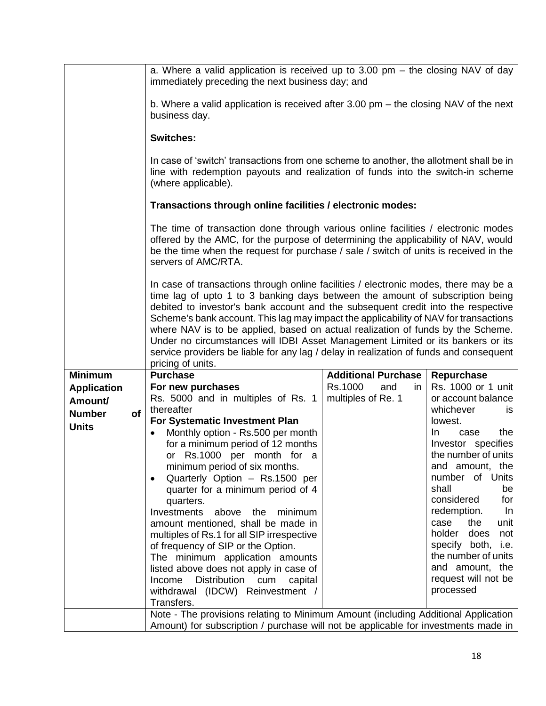|                               | a. Where a valid application is received up to 3.00 pm $-$ the closing NAV of day<br>immediately preceding the next business day; and                                                                                                                                                                                                                                                                                                                                                                                                                                                                                                  |                            |                                           |
|-------------------------------|----------------------------------------------------------------------------------------------------------------------------------------------------------------------------------------------------------------------------------------------------------------------------------------------------------------------------------------------------------------------------------------------------------------------------------------------------------------------------------------------------------------------------------------------------------------------------------------------------------------------------------------|----------------------------|-------------------------------------------|
|                               | b. Where a valid application is received after 3.00 pm $-$ the closing NAV of the next<br>business day.                                                                                                                                                                                                                                                                                                                                                                                                                                                                                                                                |                            |                                           |
|                               | <b>Switches:</b>                                                                                                                                                                                                                                                                                                                                                                                                                                                                                                                                                                                                                       |                            |                                           |
|                               | In case of 'switch' transactions from one scheme to another, the allotment shall be in<br>line with redemption payouts and realization of funds into the switch-in scheme<br>(where applicable).                                                                                                                                                                                                                                                                                                                                                                                                                                       |                            |                                           |
|                               | Transactions through online facilities / electronic modes:                                                                                                                                                                                                                                                                                                                                                                                                                                                                                                                                                                             |                            |                                           |
|                               | The time of transaction done through various online facilities / electronic modes<br>offered by the AMC, for the purpose of determining the applicability of NAV, would<br>be the time when the request for purchase / sale / switch of units is received in the<br>servers of AMC/RTA.                                                                                                                                                                                                                                                                                                                                                |                            |                                           |
|                               | In case of transactions through online facilities / electronic modes, there may be a<br>time lag of upto 1 to 3 banking days between the amount of subscription being<br>debited to investor's bank account and the subsequent credit into the respective<br>Scheme's bank account. This lag may impact the applicability of NAV for transactions<br>where NAV is to be applied, based on actual realization of funds by the Scheme.<br>Under no circumstances will IDBI Asset Management Limited or its bankers or its<br>service providers be liable for any lag / delay in realization of funds and consequent<br>pricing of units. |                            |                                           |
| <b>Minimum</b>                | <b>Purchase</b>                                                                                                                                                                                                                                                                                                                                                                                                                                                                                                                                                                                                                        | <b>Additional Purchase</b> | Repurchase                                |
|                               | For new purchases                                                                                                                                                                                                                                                                                                                                                                                                                                                                                                                                                                                                                      | Rs.1000<br>and<br>in       | Rs. 1000 or 1 unit                        |
| <b>Application</b><br>Amount/ | Rs. 5000 and in multiples of Rs. 1                                                                                                                                                                                                                                                                                                                                                                                                                                                                                                                                                                                                     | multiples of Re. 1         | or account balance                        |
| of<br><b>Number</b>           | thereafter                                                                                                                                                                                                                                                                                                                                                                                                                                                                                                                                                                                                                             |                            | whichever<br>is.                          |
| <b>Units</b>                  | For Systematic Investment Plan                                                                                                                                                                                                                                                                                                                                                                                                                                                                                                                                                                                                         |                            | lowest.                                   |
|                               | Monthly option - Rs.500 per month<br>$\bullet$                                                                                                                                                                                                                                                                                                                                                                                                                                                                                                                                                                                         |                            | the<br>In.<br>case                        |
|                               | for a minimum period of 12 months                                                                                                                                                                                                                                                                                                                                                                                                                                                                                                                                                                                                      |                            | Investor specifies                        |
|                               | or Rs.1000 per month for a                                                                                                                                                                                                                                                                                                                                                                                                                                                                                                                                                                                                             |                            | the number of units<br>and amount, the    |
|                               | minimum period of six months.<br>Quarterly Option - Rs.1500 per<br>$\bullet$                                                                                                                                                                                                                                                                                                                                                                                                                                                                                                                                                           |                            | number of Units                           |
|                               | quarter for a minimum period of 4                                                                                                                                                                                                                                                                                                                                                                                                                                                                                                                                                                                                      |                            | shall<br>be                               |
|                               | quarters.                                                                                                                                                                                                                                                                                                                                                                                                                                                                                                                                                                                                                              |                            | considered<br>for                         |
|                               | Investments above the minimum                                                                                                                                                                                                                                                                                                                                                                                                                                                                                                                                                                                                          |                            | redemption.<br>In                         |
|                               | amount mentioned, shall be made in                                                                                                                                                                                                                                                                                                                                                                                                                                                                                                                                                                                                     |                            | case<br>the<br>unit<br>holder does<br>not |
|                               | multiples of Rs.1 for all SIP irrespective<br>of frequency of SIP or the Option.                                                                                                                                                                                                                                                                                                                                                                                                                                                                                                                                                       |                            | specify both, i.e.                        |
|                               | The minimum application amounts                                                                                                                                                                                                                                                                                                                                                                                                                                                                                                                                                                                                        |                            | the number of units                       |
|                               | listed above does not apply in case of                                                                                                                                                                                                                                                                                                                                                                                                                                                                                                                                                                                                 |                            | and amount, the                           |
|                               | Distribution<br>Income<br>cum<br>capital                                                                                                                                                                                                                                                                                                                                                                                                                                                                                                                                                                                               |                            | request will not be                       |
|                               | withdrawal (IDCW) Reinvestment /                                                                                                                                                                                                                                                                                                                                                                                                                                                                                                                                                                                                       |                            | processed                                 |
|                               | Transfers.                                                                                                                                                                                                                                                                                                                                                                                                                                                                                                                                                                                                                             |                            |                                           |
|                               | Note - The provisions relating to Minimum Amount (including Additional Application<br>Amount) for subscription / purchase will not be applicable for investments made in                                                                                                                                                                                                                                                                                                                                                                                                                                                               |                            |                                           |
|                               |                                                                                                                                                                                                                                                                                                                                                                                                                                                                                                                                                                                                                                        |                            |                                           |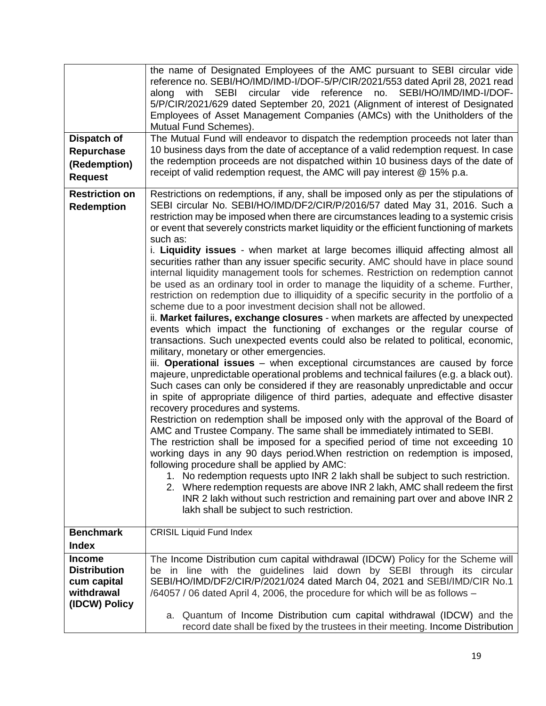| Dispatch of<br>Repurchase<br>(Redemption)<br><b>Request</b>                        | the name of Designated Employees of the AMC pursuant to SEBI circular vide<br>reference no. SEBI/HO/IMD/IMD-I/DOF-5/P/CIR/2021/553 dated April 28, 2021 read<br>along with SEBI circular vide reference no. SEBI/HO/IMD/IMD-I/DOF-<br>5/P/CIR/2021/629 dated September 20, 2021 (Alignment of interest of Designated<br>Employees of Asset Management Companies (AMCs) with the Unitholders of the<br>Mutual Fund Schemes).<br>The Mutual Fund will endeavor to dispatch the redemption proceeds not later than<br>10 business days from the date of acceptance of a valid redemption request. In case<br>the redemption proceeds are not dispatched within 10 business days of the date of<br>receipt of valid redemption request, the AMC will pay interest @ 15% p.a.                                                                                                                                                                                                                                                                                                                                                                                                                                                                                                                                                                                                                                                                                                                                                                                                                                                                                                                                                                                                                                                                                                                                                                                                                                                                                                                                                                                                                                                                                                        |
|------------------------------------------------------------------------------------|---------------------------------------------------------------------------------------------------------------------------------------------------------------------------------------------------------------------------------------------------------------------------------------------------------------------------------------------------------------------------------------------------------------------------------------------------------------------------------------------------------------------------------------------------------------------------------------------------------------------------------------------------------------------------------------------------------------------------------------------------------------------------------------------------------------------------------------------------------------------------------------------------------------------------------------------------------------------------------------------------------------------------------------------------------------------------------------------------------------------------------------------------------------------------------------------------------------------------------------------------------------------------------------------------------------------------------------------------------------------------------------------------------------------------------------------------------------------------------------------------------------------------------------------------------------------------------------------------------------------------------------------------------------------------------------------------------------------------------------------------------------------------------------------------------------------------------------------------------------------------------------------------------------------------------------------------------------------------------------------------------------------------------------------------------------------------------------------------------------------------------------------------------------------------------------------------------------------------------------------------------------------------------|
| <b>Restriction on</b><br><b>Redemption</b>                                         | Restrictions on redemptions, if any, shall be imposed only as per the stipulations of<br>SEBI circular No. SEBI/HO/IMD/DF2/CIR/P/2016/57 dated May 31, 2016. Such a<br>restriction may be imposed when there are circumstances leading to a systemic crisis<br>or event that severely constricts market liquidity or the efficient functioning of markets<br>such as:<br>i. Liquidity issues - when market at large becomes illiquid affecting almost all<br>securities rather than any issuer specific security. AMC should have in place sound<br>internal liquidity management tools for schemes. Restriction on redemption cannot<br>be used as an ordinary tool in order to manage the liquidity of a scheme. Further,<br>restriction on redemption due to illiquidity of a specific security in the portfolio of a<br>scheme due to a poor investment decision shall not be allowed.<br>ii. Market failures, exchange closures - when markets are affected by unexpected<br>events which impact the functioning of exchanges or the regular course of<br>transactions. Such unexpected events could also be related to political, economic,<br>military, monetary or other emergencies.<br>iii. Operational issues - when exceptional circumstances are caused by force<br>majeure, unpredictable operational problems and technical failures (e.g. a black out).<br>Such cases can only be considered if they are reasonably unpredictable and occur<br>in spite of appropriate diligence of third parties, adequate and effective disaster<br>recovery procedures and systems.<br>Restriction on redemption shall be imposed only with the approval of the Board of<br>AMC and Trustee Company. The same shall be immediately intimated to SEBI.<br>The restriction shall be imposed for a specified period of time not exceeding 10<br>working days in any 90 days period. When restriction on redemption is imposed,<br>following procedure shall be applied by AMC:<br>1. No redemption requests upto INR 2 lakh shall be subject to such restriction.<br>2. Where redemption requests are above INR 2 lakh, AMC shall redeem the first<br>INR 2 lakh without such restriction and remaining part over and above INR 2<br>lakh shall be subject to such restriction. |
| <b>Benchmark</b><br><b>Index</b>                                                   | <b>CRISIL Liquid Fund Index</b>                                                                                                                                                                                                                                                                                                                                                                                                                                                                                                                                                                                                                                                                                                                                                                                                                                                                                                                                                                                                                                                                                                                                                                                                                                                                                                                                                                                                                                                                                                                                                                                                                                                                                                                                                                                                                                                                                                                                                                                                                                                                                                                                                                                                                                                 |
| <b>Income</b><br><b>Distribution</b><br>cum capital<br>withdrawal<br>(IDCW) Policy | The Income Distribution cum capital withdrawal (IDCW) Policy for the Scheme will<br>be in line with the guidelines laid down by SEBI through its circular<br>SEBI/HO/IMD/DF2/CIR/P/2021/024 dated March 04, 2021 and SEBI/IMD/CIR No.1<br>/64057 / 06 dated April 4, 2006, the procedure for which will be as follows -<br>a. Quantum of Income Distribution cum capital withdrawal (IDCW) and the<br>record date shall be fixed by the trustees in their meeting. Income Distribution                                                                                                                                                                                                                                                                                                                                                                                                                                                                                                                                                                                                                                                                                                                                                                                                                                                                                                                                                                                                                                                                                                                                                                                                                                                                                                                                                                                                                                                                                                                                                                                                                                                                                                                                                                                          |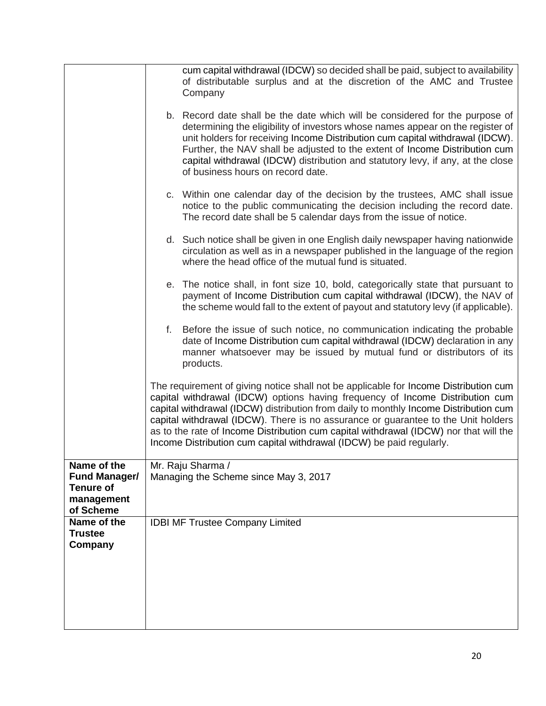|                                                                                    | cum capital withdrawal (IDCW) so decided shall be paid, subject to availability<br>of distributable surplus and at the discretion of the AMC and Trustee<br>Company                                                                                                                                                                                                                                                                                                                                                 |
|------------------------------------------------------------------------------------|---------------------------------------------------------------------------------------------------------------------------------------------------------------------------------------------------------------------------------------------------------------------------------------------------------------------------------------------------------------------------------------------------------------------------------------------------------------------------------------------------------------------|
|                                                                                    | b. Record date shall be the date which will be considered for the purpose of<br>determining the eligibility of investors whose names appear on the register of<br>unit holders for receiving Income Distribution cum capital withdrawal (IDCW).<br>Further, the NAV shall be adjusted to the extent of Income Distribution cum<br>capital withdrawal (IDCW) distribution and statutory levy, if any, at the close<br>of business hours on record date.                                                              |
|                                                                                    | c. Within one calendar day of the decision by the trustees, AMC shall issue<br>notice to the public communicating the decision including the record date.<br>The record date shall be 5 calendar days from the issue of notice.                                                                                                                                                                                                                                                                                     |
|                                                                                    | d. Such notice shall be given in one English daily newspaper having nationwide<br>circulation as well as in a newspaper published in the language of the region<br>where the head office of the mutual fund is situated.                                                                                                                                                                                                                                                                                            |
|                                                                                    | e. The notice shall, in font size 10, bold, categorically state that pursuant to<br>payment of Income Distribution cum capital withdrawal (IDCW), the NAV of<br>the scheme would fall to the extent of payout and statutory levy (if applicable).                                                                                                                                                                                                                                                                   |
|                                                                                    | f. Before the issue of such notice, no communication indicating the probable<br>date of Income Distribution cum capital withdrawal (IDCW) declaration in any<br>manner whatsoever may be issued by mutual fund or distributors of its<br>products.                                                                                                                                                                                                                                                                  |
|                                                                                    | The requirement of giving notice shall not be applicable for Income Distribution cum<br>capital withdrawal (IDCW) options having frequency of Income Distribution cum<br>capital withdrawal (IDCW) distribution from daily to monthly Income Distribution cum<br>capital withdrawal (IDCW). There is no assurance or guarantee to the Unit holders<br>as to the rate of Income Distribution cum capital withdrawal (IDCW) nor that will the<br>Income Distribution cum capital withdrawal (IDCW) be paid regularly. |
| Name of the<br><b>Fund Manager/</b><br><b>Tenure of</b><br>management<br>of Scheme | Mr. Raju Sharma /<br>Managing the Scheme since May 3, 2017                                                                                                                                                                                                                                                                                                                                                                                                                                                          |
| Name of the<br><b>Trustee</b><br>Company                                           | <b>IDBI MF Trustee Company Limited</b>                                                                                                                                                                                                                                                                                                                                                                                                                                                                              |
|                                                                                    |                                                                                                                                                                                                                                                                                                                                                                                                                                                                                                                     |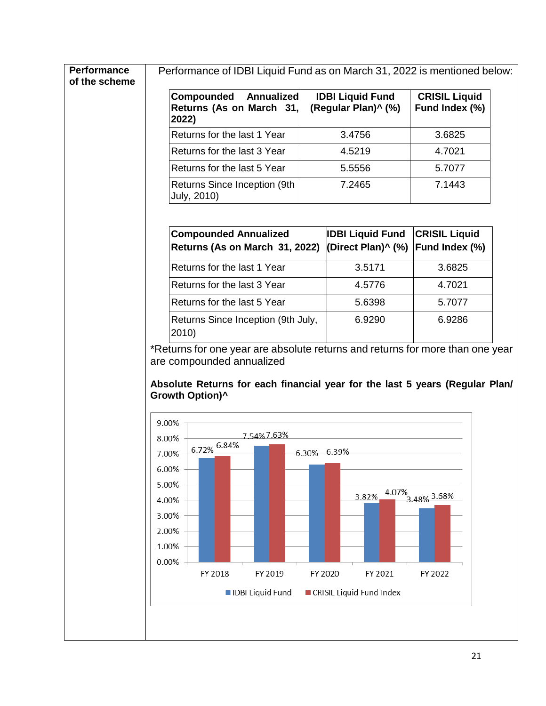| Compounded<br>Annualized<br>Returns (As on March 31,<br>2022) | <b>IDBI Liquid Fund</b><br>(Regular Plan)^ (%) | <b>CRISIL Liquid</b><br>Fund Index (%) |
|---------------------------------------------------------------|------------------------------------------------|----------------------------------------|
| Returns for the last 1 Year                                   | 3.4756                                         | 3.6825                                 |
| Returns for the last 3 Year                                   | 4.5219                                         | 4.7021                                 |
| Returns for the last 5 Year                                   | 5.5556                                         | 5.7077                                 |
| Returns Since Inception (9th<br>July, 2010)                   | 7.2465                                         | 7.1443                                 |

| Returns for the last 1 Year                 | 3.5171 | 3.6825 |
|---------------------------------------------|--------|--------|
| Returns for the last 3 Year                 | 4.5776 | 4.7021 |
| Returns for the last 5 Year                 | 5.6398 | 5.7077 |
| Returns Since Inception (9th July,<br>2010) | 6.9290 | 6.9286 |

\*Returns for one year are absolute returns and returns for more than one year are compounded annualized

**Absolute Returns for each financial year for the last 5 years (Regular Plan/ Growth Option)^**

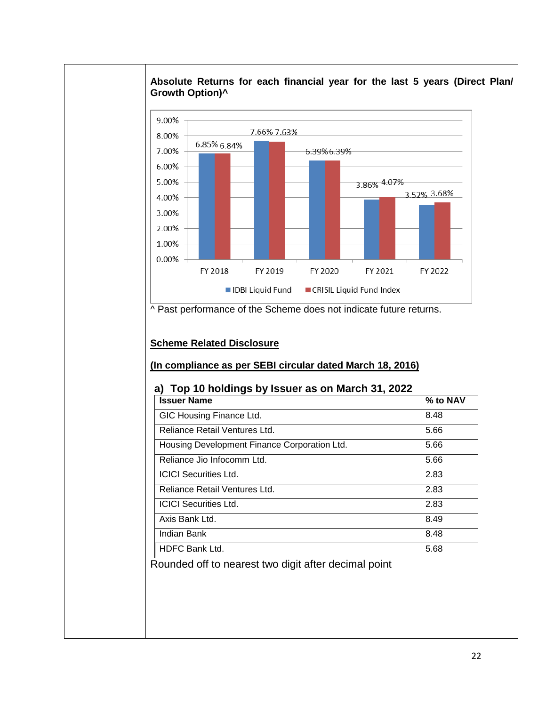

#### **Absolute Returns for each financial year for the last 5 years (Direct Plan/ Growth Option)^**

^ Past performance of the Scheme does not indicate future returns.

## **Scheme Related Disclosure**

## **(In compliance as per SEBI circular dated March 18, 2016)**

#### **a) Top 10 holdings by Issuer as on March 31, 2022**

| <b>Issuer Name</b>                           | % to NAV |
|----------------------------------------------|----------|
| GIC Housing Finance Ltd.                     | 8.48     |
| Reliance Retail Ventures Ltd.                | 5.66     |
| Housing Development Finance Corporation Ltd. | 5.66     |
| Reliance Jio Infocomm Ltd.                   | 5.66     |
| <b>ICICI Securities Ltd.</b>                 | 2.83     |
| Reliance Retail Ventures Ltd.                | 2.83     |
| <b>ICICI Securities Ltd.</b>                 | 2.83     |
| Axis Bank Ltd.                               | 8.49     |
| Indian Bank                                  | 8.48     |
| <b>HDFC Bank Ltd.</b>                        | 5.68     |

Rounded off to nearest two digit after decimal point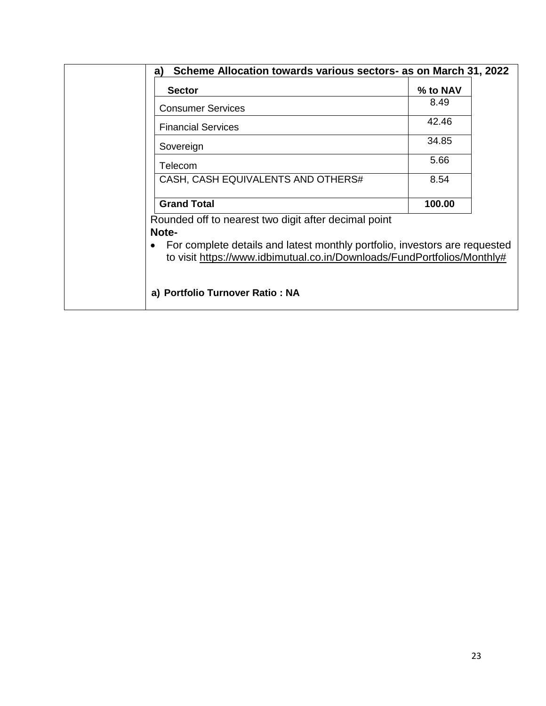| <b>Consumer Services</b><br><b>Financial Services</b><br>Sovereign | 8.49<br>42.46<br>34.85 |
|--------------------------------------------------------------------|------------------------|
|                                                                    |                        |
|                                                                    |                        |
|                                                                    |                        |
| Telecom                                                            | 5.66                   |
| CASH, CASH EQUIVALENTS AND OTHERS#                                 | 8.54                   |
| <b>Grand Total</b>                                                 | 100.00                 |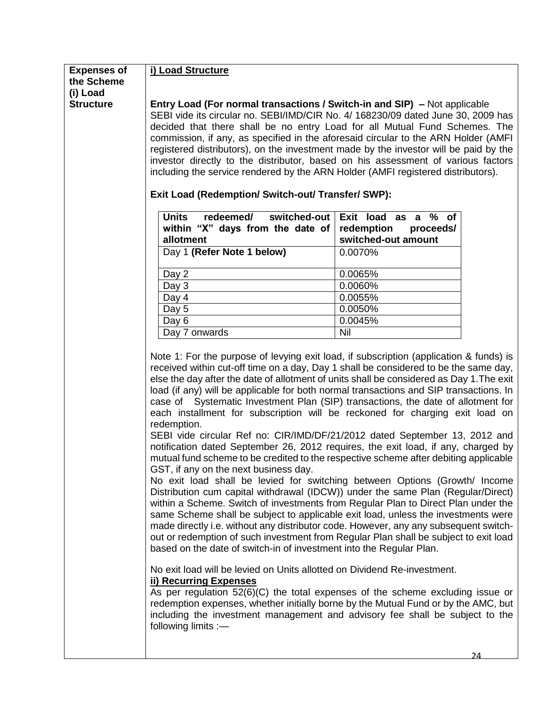| <b>Expenses of</b><br>the Scheme | i) Load Structure                                                                                                                                                        |                                                                                      |  |
|----------------------------------|--------------------------------------------------------------------------------------------------------------------------------------------------------------------------|--------------------------------------------------------------------------------------|--|
|                                  |                                                                                                                                                                          |                                                                                      |  |
| (i) Load<br><b>Structure</b>     | <b>Entry Load (For normal transactions / Switch-in and SIP)</b> – Not applicable                                                                                         |                                                                                      |  |
|                                  | SEBI vide its circular no. SEBI/IMD/CIR No. 4/ 168230/09 dated June 30, 2009 has                                                                                         |                                                                                      |  |
|                                  | decided that there shall be no entry Load for all Mutual Fund Schemes. The                                                                                               |                                                                                      |  |
|                                  |                                                                                                                                                                          |                                                                                      |  |
|                                  | commission, if any, as specified in the aforesaid circular to the ARN Holder (AMFI                                                                                       |                                                                                      |  |
|                                  | registered distributors), on the investment made by the investor will be paid by the<br>investor directly to the distributor, based on his assessment of various factors |                                                                                      |  |
|                                  | including the service rendered by the ARN Holder (AMFI registered distributors).                                                                                         |                                                                                      |  |
|                                  |                                                                                                                                                                          |                                                                                      |  |
|                                  | Exit Load (Redemption/ Switch-out/ Transfer/ SWP):                                                                                                                       |                                                                                      |  |
|                                  | <b>Units</b><br>redeemed/<br>switched-out                                                                                                                                | Exit load as a % of                                                                  |  |
|                                  |                                                                                                                                                                          |                                                                                      |  |
|                                  | within "X" days from the date of<br>allotment                                                                                                                            | redemption<br>proceeds/<br>switched-out amount                                       |  |
|                                  |                                                                                                                                                                          |                                                                                      |  |
|                                  | Day 1 (Refer Note 1 below)                                                                                                                                               | 0.0070%                                                                              |  |
|                                  | Day 2                                                                                                                                                                    | 0.0065%                                                                              |  |
|                                  | Day 3                                                                                                                                                                    | 0.0060%                                                                              |  |
|                                  | Day 4                                                                                                                                                                    | 0.0055%                                                                              |  |
|                                  | Day 5                                                                                                                                                                    | 0.0050%                                                                              |  |
|                                  | Day 6                                                                                                                                                                    | 0.0045%                                                                              |  |
|                                  | Day 7 onwards                                                                                                                                                            | Nil                                                                                  |  |
|                                  |                                                                                                                                                                          |                                                                                      |  |
|                                  | Note 1: For the purpose of levying exit load, if subscription (application & funds) is                                                                                   |                                                                                      |  |
|                                  | received within cut-off time on a day, Day 1 shall be considered to be the same day,                                                                                     |                                                                                      |  |
|                                  | else the day after the date of allotment of units shall be considered as Day 1. The exit                                                                                 |                                                                                      |  |
|                                  | load (if any) will be applicable for both normal transactions and SIP transactions. In                                                                                   |                                                                                      |  |
|                                  | case of Systematic Investment Plan (SIP) transactions, the date of allotment for                                                                                         |                                                                                      |  |
|                                  | each installment for subscription will be reckoned for charging exit load on                                                                                             |                                                                                      |  |
|                                  | redemption.                                                                                                                                                              |                                                                                      |  |
|                                  | SEBI vide circular Ref no: CIR/IMD/DF/21/2012 dated September 13, 2012 and                                                                                               |                                                                                      |  |
|                                  |                                                                                                                                                                          | notification dated September 26, 2012 requires, the exit load, if any, charged by    |  |
|                                  |                                                                                                                                                                          | mutual fund scheme to be credited to the respective scheme after debiting applicable |  |
|                                  | GST, if any on the next business day.                                                                                                                                    |                                                                                      |  |
|                                  |                                                                                                                                                                          | No exit load shall be levied for switching between Options (Growth/ Income           |  |
|                                  | Distribution cum capital withdrawal (IDCW)) under the same Plan (Regular/Direct)                                                                                         |                                                                                      |  |
|                                  | within a Scheme. Switch of investments from Regular Plan to Direct Plan under the                                                                                        |                                                                                      |  |
|                                  | same Scheme shall be subject to applicable exit load, unless the investments were                                                                                        |                                                                                      |  |
|                                  | made directly i.e. without any distributor code. However, any any subsequent switch-                                                                                     |                                                                                      |  |
|                                  | out or redemption of such investment from Regular Plan shall be subject to exit load                                                                                     |                                                                                      |  |
|                                  | based on the date of switch-in of investment into the Regular Plan.                                                                                                      |                                                                                      |  |
|                                  | No exit load will be levied on Units allotted on Dividend Re-investment.                                                                                                 |                                                                                      |  |
|                                  | <b>ii) Recurring Expenses</b>                                                                                                                                            |                                                                                      |  |
|                                  | As per regulation $52(6)(C)$ the total expenses of the scheme excluding issue or                                                                                         |                                                                                      |  |
|                                  |                                                                                                                                                                          | redemption expenses, whether initially borne by the Mutual Fund or by the AMC, but   |  |
|                                  |                                                                                                                                                                          | including the investment management and advisory fee shall be subject to the         |  |
|                                  | following limits :-                                                                                                                                                      |                                                                                      |  |
|                                  |                                                                                                                                                                          |                                                                                      |  |
|                                  |                                                                                                                                                                          | 2Δ                                                                                   |  |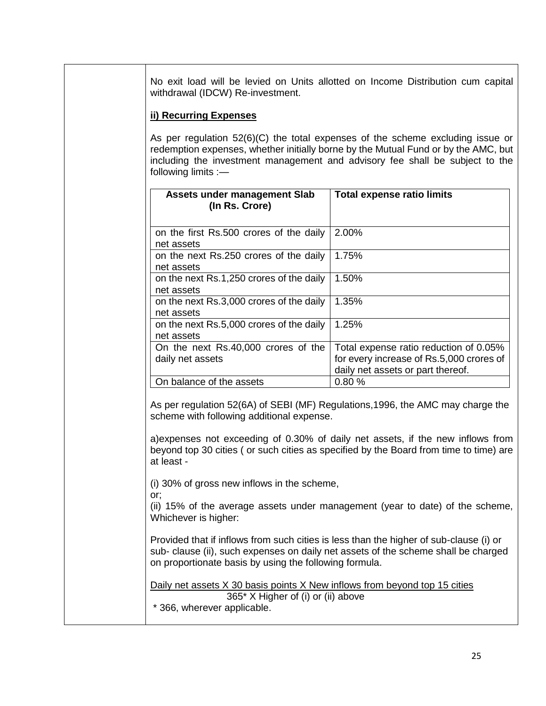No exit load will be levied on Units allotted on Income Distribution cum capital withdrawal (IDCW) Re-investment.

#### **ii) Recurring Expenses**

As per regulation 52(6)(C) the total expenses of the scheme excluding issue or redemption expenses, whether initially borne by the Mutual Fund or by the AMC, but including the investment management and advisory fee shall be subject to the following limits :—

| Assets under management Slab<br>(In Rs. Crore)          | <b>Total expense ratio limits</b>                                                                                       |
|---------------------------------------------------------|-------------------------------------------------------------------------------------------------------------------------|
| on the first Rs.500 crores of the daily<br>net assets   | 2.00%                                                                                                                   |
| on the next Rs.250 crores of the daily<br>net assets    | 1.75%                                                                                                                   |
| on the next Rs.1,250 crores of the daily<br>net assets  | 1.50%                                                                                                                   |
| on the next Rs.3,000 crores of the daily<br>net assets  | 1.35%                                                                                                                   |
| on the next Rs.5,000 crores of the daily<br>net assets  | 1.25%                                                                                                                   |
| On the next Rs.40,000 crores of the<br>daily net assets | Total expense ratio reduction of 0.05%<br>for every increase of Rs.5,000 crores of<br>daily net assets or part thereof. |
| On balance of the assets                                | 0.80%                                                                                                                   |

As per regulation 52(6A) of SEBI (MF) Regulations,1996, the AMC may charge the scheme with following additional expense.

a)expenses not exceeding of 0.30% of daily net assets, if the new inflows from beyond top 30 cities ( or such cities as specified by the Board from time to time) are at least -

(i) 30% of gross new inflows in the scheme,

or;

(ii) 15% of the average assets under management (year to date) of the scheme, Whichever is higher:

Provided that if inflows from such cities is less than the higher of sub-clause (i) or sub- clause (ii), such expenses on daily net assets of the scheme shall be charged on proportionate basis by using the following formula.

Daily net assets X 30 basis points X New inflows from beyond top 15 cities 365\* X Higher of (i) or (ii) above \* 366, wherever applicable.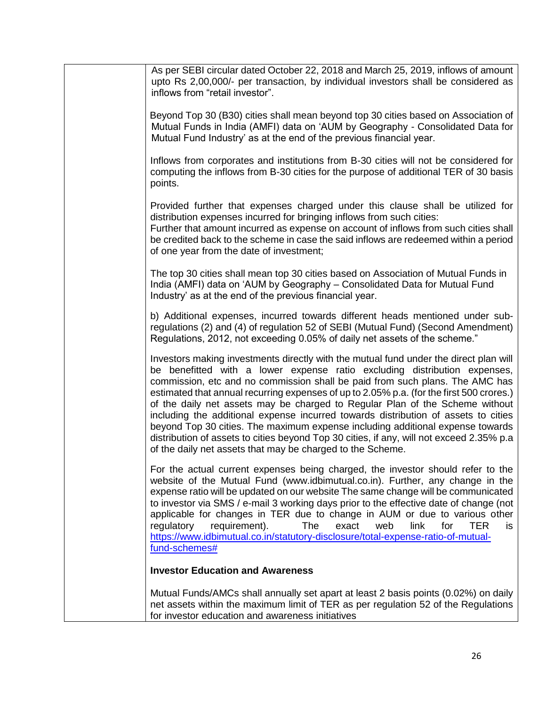|  | As per SEBI circular dated October 22, 2018 and March 25, 2019, inflows of amount<br>upto Rs 2,00,000/- per transaction, by individual investors shall be considered as<br>inflows from "retail investor".                                                                                                                                                                                                                                                                                                                                                                                                                                                                                                                                                       |
|--|------------------------------------------------------------------------------------------------------------------------------------------------------------------------------------------------------------------------------------------------------------------------------------------------------------------------------------------------------------------------------------------------------------------------------------------------------------------------------------------------------------------------------------------------------------------------------------------------------------------------------------------------------------------------------------------------------------------------------------------------------------------|
|  | Beyond Top 30 (B30) cities shall mean beyond top 30 cities based on Association of<br>Mutual Funds in India (AMFI) data on 'AUM by Geography - Consolidated Data for<br>Mutual Fund Industry' as at the end of the previous financial year.                                                                                                                                                                                                                                                                                                                                                                                                                                                                                                                      |
|  | Inflows from corporates and institutions from B-30 cities will not be considered for<br>computing the inflows from B-30 cities for the purpose of additional TER of 30 basis<br>points.                                                                                                                                                                                                                                                                                                                                                                                                                                                                                                                                                                          |
|  | Provided further that expenses charged under this clause shall be utilized for<br>distribution expenses incurred for bringing inflows from such cities:<br>Further that amount incurred as expense on account of inflows from such cities shall<br>be credited back to the scheme in case the said inflows are redeemed within a period<br>of one year from the date of investment;                                                                                                                                                                                                                                                                                                                                                                              |
|  | The top 30 cities shall mean top 30 cities based on Association of Mutual Funds in<br>India (AMFI) data on 'AUM by Geography - Consolidated Data for Mutual Fund<br>Industry' as at the end of the previous financial year.                                                                                                                                                                                                                                                                                                                                                                                                                                                                                                                                      |
|  | b) Additional expenses, incurred towards different heads mentioned under sub-<br>regulations (2) and (4) of regulation 52 of SEBI (Mutual Fund) (Second Amendment)<br>Regulations, 2012, not exceeding 0.05% of daily net assets of the scheme."                                                                                                                                                                                                                                                                                                                                                                                                                                                                                                                 |
|  | Investors making investments directly with the mutual fund under the direct plan will<br>be benefitted with a lower expense ratio excluding distribution expenses,<br>commission, etc and no commission shall be paid from such plans. The AMC has<br>estimated that annual recurring expenses of up to 2.05% p.a. (for the first 500 crores.)<br>of the daily net assets may be charged to Regular Plan of the Scheme without<br>including the additional expense incurred towards distribution of assets to cities<br>beyond Top 30 cities. The maximum expense including additional expense towards<br>distribution of assets to cities beyond Top 30 cities, if any, will not exceed 2.35% p.a<br>of the daily net assets that may be charged to the Scheme. |
|  | For the actual current expenses being charged, the investor should refer to the<br>website of the Mutual Fund (www.idbimutual.co.in). Further, any change in the<br>expense ratio will be updated on our website The same change will be communicated<br>to investor via SMS / e-mail 3 working days prior to the effective date of change (not<br>applicable for changes in TER due to change in AUM or due to various other<br>requirement).<br>regulatory<br>The<br>exact<br>web<br>link<br>for<br>TER.<br>is<br>https://www.idbimutual.co.in/statutory-disclosure/total-expense-ratio-of-mutual-<br>fund-schemes#                                                                                                                                            |
|  | <b>Investor Education and Awareness</b>                                                                                                                                                                                                                                                                                                                                                                                                                                                                                                                                                                                                                                                                                                                          |
|  | Mutual Funds/AMCs shall annually set apart at least 2 basis points (0.02%) on daily<br>net assets within the maximum limit of TER as per regulation 52 of the Regulations<br>for investor education and awareness initiatives                                                                                                                                                                                                                                                                                                                                                                                                                                                                                                                                    |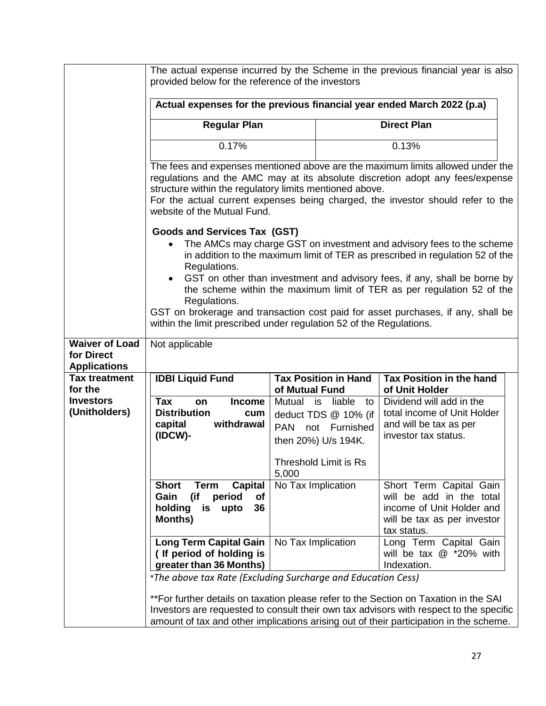|                                                            | provided below for the reference of the investors                                                                             |                         |                                                                           | The actual expense incurred by the Scheme in the previous financial year is also                                                                                                                                                                                         |  |
|------------------------------------------------------------|-------------------------------------------------------------------------------------------------------------------------------|-------------------------|---------------------------------------------------------------------------|--------------------------------------------------------------------------------------------------------------------------------------------------------------------------------------------------------------------------------------------------------------------------|--|
|                                                            | Actual expenses for the previous financial year ended March 2022 (p.a)                                                        |                         |                                                                           |                                                                                                                                                                                                                                                                          |  |
|                                                            | <b>Regular Plan</b>                                                                                                           |                         |                                                                           | <b>Direct Plan</b>                                                                                                                                                                                                                                                       |  |
|                                                            | 0.17%                                                                                                                         |                         |                                                                           | 0.13%                                                                                                                                                                                                                                                                    |  |
|                                                            | structure within the regulatory limits mentioned above.                                                                       |                         |                                                                           | The fees and expenses mentioned above are the maximum limits allowed under the<br>regulations and the AMC may at its absolute discretion adopt any fees/expense<br>For the actual current expenses being charged, the investor should refer to the                       |  |
|                                                            | website of the Mutual Fund.<br><b>Goods and Services Tax (GST)</b>                                                            |                         |                                                                           |                                                                                                                                                                                                                                                                          |  |
|                                                            | $\bullet$<br>Regulations.                                                                                                     |                         |                                                                           | The AMCs may charge GST on investment and advisory fees to the scheme<br>in addition to the maximum limit of TER as prescribed in regulation 52 of the                                                                                                                   |  |
|                                                            | Regulations.                                                                                                                  |                         |                                                                           | GST on other than investment and advisory fees, if any, shall be borne by<br>the scheme within the maximum limit of TER as per regulation 52 of the                                                                                                                      |  |
|                                                            | within the limit prescribed under regulation 52 of the Regulations.                                                           |                         |                                                                           | GST on brokerage and transaction cost paid for asset purchases, if any, shall be                                                                                                                                                                                         |  |
| <b>Waiver of Load</b><br>for Direct<br><b>Applications</b> | Not applicable                                                                                                                |                         |                                                                           |                                                                                                                                                                                                                                                                          |  |
| <b>Tax treatment</b><br>for the                            | <b>IDBI Liquid Fund</b>                                                                                                       | of Mutual Fund          | <b>Tax Position in Hand</b>                                               | <b>Tax Position in the hand</b><br>of Unit Holder                                                                                                                                                                                                                        |  |
| <b>Investors</b><br>(Unitholders)                          | <b>Tax</b><br><b>Income</b><br>on<br><b>Distribution</b><br>cum<br>withdrawal<br>capital<br>(IDCW)-                           | Mutual is<br><b>PAN</b> | liable to<br>deduct TDS @ 10% (if<br>not Furnished<br>then 20%) U/s 194K. | Dividend will add in the<br>total income of Unit Holder<br>and will be tax as per<br>investor tax status.                                                                                                                                                                |  |
|                                                            |                                                                                                                               | 5,000                   | <b>Threshold Limit is Rs</b>                                              |                                                                                                                                                                                                                                                                          |  |
|                                                            | <b>Short</b><br><b>Term</b><br><b>Capital</b><br>(if<br>period<br>Gain<br>of<br>holding<br>36<br>is<br>upto<br><b>Months)</b> | No Tax Implication      |                                                                           | Short Term Capital Gain<br>will be add in the total<br>income of Unit Holder and<br>will be tax as per investor<br>tax status.                                                                                                                                           |  |
|                                                            | <b>Long Term Capital Gain</b><br>(If period of holding is<br>greater than 36 Months)                                          | No Tax Implication      |                                                                           | Long Term Capital Gain<br>will be tax $@$ *20% with<br>Indexation.                                                                                                                                                                                                       |  |
|                                                            | *The above tax Rate (Excluding Surcharge and Education Cess)                                                                  |                         |                                                                           |                                                                                                                                                                                                                                                                          |  |
|                                                            |                                                                                                                               |                         |                                                                           | **For further details on taxation please refer to the Section on Taxation in the SAI<br>Investors are requested to consult their own tax advisors with respect to the specific<br>amount of tax and other implications arising out of their participation in the scheme. |  |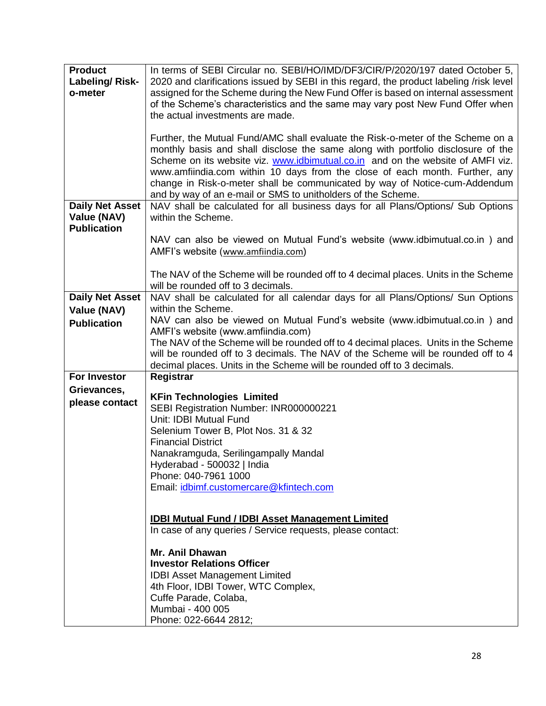| <b>Product</b>         | In terms of SEBI Circular no. SEBI/HO/IMD/DF3/CIR/P/2020/197 dated October 5,           |  |
|------------------------|-----------------------------------------------------------------------------------------|--|
|                        |                                                                                         |  |
| <b>Labeling/Risk-</b>  | 2020 and clarifications issued by SEBI in this regard, the product labeling /risk level |  |
| o-meter                | assigned for the Scheme during the New Fund Offer is based on internal assessment       |  |
|                        | of the Scheme's characteristics and the same may vary post New Fund Offer when          |  |
|                        | the actual investments are made.                                                        |  |
|                        |                                                                                         |  |
|                        | Further, the Mutual Fund/AMC shall evaluate the Risk-o-meter of the Scheme on a         |  |
|                        | monthly basis and shall disclose the same along with portfolio disclosure of the        |  |
|                        | Scheme on its website viz. www.idbimutual.co.in and on the website of AMFI viz.         |  |
|                        | www.amfiindia.com within 10 days from the close of each month. Further, any             |  |
|                        | change in Risk-o-meter shall be communicated by way of Notice-cum-Addendum              |  |
|                        | and by way of an e-mail or SMS to unitholders of the Scheme.                            |  |
| <b>Daily Net Asset</b> | NAV shall be calculated for all business days for all Plans/Options/ Sub Options        |  |
| Value (NAV)            | within the Scheme.                                                                      |  |
| <b>Publication</b>     |                                                                                         |  |
|                        | NAV can also be viewed on Mutual Fund's website (www.idbimutual.co.in) and              |  |
|                        | AMFI's website (www.amfiindia.com)                                                      |  |
|                        |                                                                                         |  |
|                        | The NAV of the Scheme will be rounded off to 4 decimal places. Units in the Scheme      |  |
|                        | will be rounded off to 3 decimals.                                                      |  |
| <b>Daily Net Asset</b> | NAV shall be calculated for all calendar days for all Plans/Options/ Sun Options        |  |
| Value (NAV)            | within the Scheme.                                                                      |  |
| <b>Publication</b>     | NAV can also be viewed on Mutual Fund's website (www.idbimutual.co.in) and              |  |
|                        | AMFI's website (www.amfiindia.com)                                                      |  |
|                        | The NAV of the Scheme will be rounded off to 4 decimal places. Units in the Scheme      |  |
|                        | will be rounded off to 3 decimals. The NAV of the Scheme will be rounded off to 4       |  |
|                        | decimal places. Units in the Scheme will be rounded off to 3 decimals.                  |  |
| <b>For Investor</b>    | Registrar                                                                               |  |
| Grievances,            |                                                                                         |  |
| please contact         | <b>KFin Technologies Limited</b>                                                        |  |
|                        | SEBI Registration Number: INR000000221                                                  |  |
|                        | Unit: IDBI Mutual Fund                                                                  |  |
|                        | Selenium Tower B, Plot Nos. 31 & 32                                                     |  |
|                        | <b>Financial District</b>                                                               |  |
|                        | Nanakramguda, Serilingampally Mandal                                                    |  |
|                        | Hyderabad - 500032   India                                                              |  |
|                        | Phone: 040-7961 1000                                                                    |  |
|                        | Email: idbimf.customercare@kfintech.com                                                 |  |
|                        |                                                                                         |  |
|                        | <b>IDBI Mutual Fund / IDBI Asset Management Limited</b>                                 |  |
|                        | In case of any queries / Service requests, please contact:                              |  |
|                        |                                                                                         |  |
|                        | Mr. Anil Dhawan                                                                         |  |
|                        | <b>Investor Relations Officer</b>                                                       |  |
|                        | <b>IDBI Asset Management Limited</b>                                                    |  |
|                        | 4th Floor, IDBI Tower, WTC Complex,                                                     |  |
|                        | Cuffe Parade, Colaba,                                                                   |  |
|                        | Mumbai - 400 005                                                                        |  |
|                        | Phone: 022-6644 2812;                                                                   |  |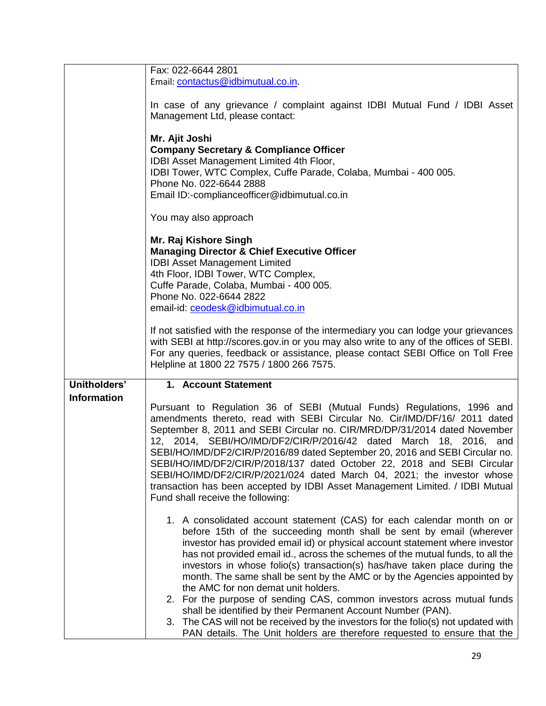| Fax: 022-6644 2801<br>Email: contactus@idbimutual.co.in.                                                                                           |
|----------------------------------------------------------------------------------------------------------------------------------------------------|
|                                                                                                                                                    |
|                                                                                                                                                    |
|                                                                                                                                                    |
| In case of any grievance / complaint against IDBI Mutual Fund / IDBI Asset                                                                         |
| Management Ltd, please contact:                                                                                                                    |
|                                                                                                                                                    |
|                                                                                                                                                    |
| Mr. Ajit Joshi                                                                                                                                     |
| <b>Company Secretary &amp; Compliance Officer</b>                                                                                                  |
| IDBI Asset Management Limited 4th Floor,                                                                                                           |
| IDBI Tower, WTC Complex, Cuffe Parade, Colaba, Mumbai - 400 005.                                                                                   |
| Phone No. 022-6644 2888                                                                                                                            |
| Email ID:-complianceofficer@idbimutual.co.in                                                                                                       |
|                                                                                                                                                    |
| You may also approach                                                                                                                              |
|                                                                                                                                                    |
| Mr. Raj Kishore Singh                                                                                                                              |
| <b>Managing Director &amp; Chief Executive Officer</b>                                                                                             |
| <b>IDBI Asset Management Limited</b>                                                                                                               |
| 4th Floor, IDBI Tower, WTC Complex,                                                                                                                |
| Cuffe Parade, Colaba, Mumbai - 400 005.                                                                                                            |
| Phone No. 022-6644 2822                                                                                                                            |
| email-id: ceodesk@idbimutual.co.in                                                                                                                 |
|                                                                                                                                                    |
| If not satisfied with the response of the intermediary you can lodge your grievances                                                               |
| with SEBI at http://scores.gov.in or you may also write to any of the offices of SEBI.                                                             |
| For any queries, feedback or assistance, please contact SEBI Office on Toll Free                                                                   |
|                                                                                                                                                    |
|                                                                                                                                                    |
| Helpline at 1800 22 7575 / 1800 266 7575.                                                                                                          |
|                                                                                                                                                    |
| Unitholders'<br>1. Account Statement                                                                                                               |
| <b>Information</b>                                                                                                                                 |
| Pursuant to Regulation 36 of SEBI (Mutual Funds) Regulations, 1996 and                                                                             |
| amendments thereto, read with SEBI Circular No. Cir/IMD/DF/16/ 2011 dated                                                                          |
| September 8, 2011 and SEBI Circular no. CIR/MRD/DP/31/2014 dated November                                                                          |
| 12, 2014, SEBI/HO/IMD/DF2/CIR/P/2016/42 dated March 18, 2016, and                                                                                  |
| SEBI/HO/IMD/DF2/CIR/P/2016/89 dated September 20, 2016 and SEBI Circular no.                                                                       |
| SEBI/HO/IMD/DF2/CIR/P/2018/137 dated October 22, 2018 and SEBI Circular                                                                            |
| SEBI/HO/IMD/DF2/CIR/P/2021/024 dated March 04, 2021; the investor whose                                                                            |
| transaction has been accepted by IDBI Asset Management Limited. / IDBI Mutual                                                                      |
| Fund shall receive the following:                                                                                                                  |
|                                                                                                                                                    |
| 1. A consolidated account statement (CAS) for each calendar month on or                                                                            |
| before 15th of the succeeding month shall be sent by email (wherever                                                                               |
| investor has provided email id) or physical account statement where investor                                                                       |
| has not provided email id., across the schemes of the mutual funds, to all the                                                                     |
|                                                                                                                                                    |
| investors in whose folio(s) transaction(s) has/have taken place during the                                                                         |
| month. The same shall be sent by the AMC or by the Agencies appointed by                                                                           |
| the AMC for non demat unit holders.                                                                                                                |
| 2. For the purpose of sending CAS, common investors across mutual funds                                                                            |
| shall be identified by their Permanent Account Number (PAN).<br>3. The CAS will not be received by the investors for the folio(s) not updated with |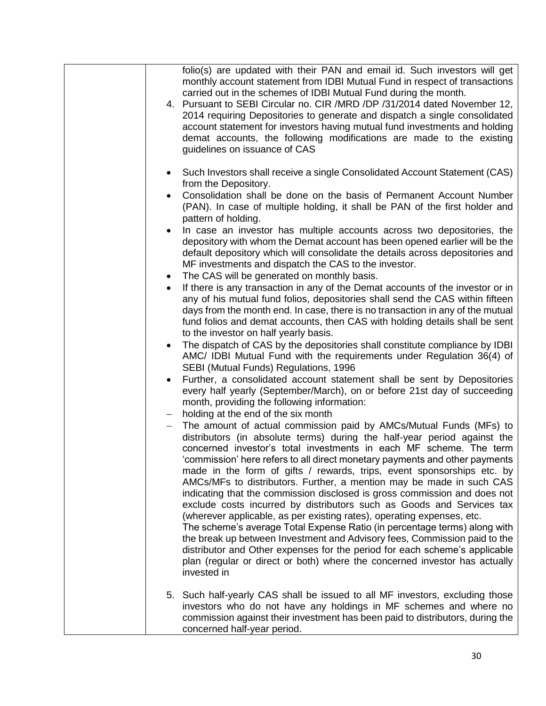| monthly account statement from IDBI Mutual Fund in respect of transactions<br>carried out in the schemes of IDBI Mutual Fund during the month.<br>4. Pursuant to SEBI Circular no. CIR /MRD /DP /31/2014 dated November 12,<br>2014 requiring Depositories to generate and dispatch a single consolidated<br>account statement for investors having mutual fund investments and holding<br>demat accounts, the following modifications are made to the existing<br>guidelines on issuance of CAS<br>Such Investors shall receive a single Consolidated Account Statement (CAS)<br>$\bullet$<br>from the Depository.<br>Consolidation shall be done on the basis of Permanent Account Number<br>(PAN). In case of multiple holding, it shall be PAN of the first holder and<br>pattern of holding.<br>In case an investor has multiple accounts across two depositories, the<br>depository with whom the Demat account has been opened earlier will be the<br>default depository which will consolidate the details across depositories and<br>MF investments and dispatch the CAS to the investor.<br>The CAS will be generated on monthly basis.<br>٠<br>If there is any transaction in any of the Demat accounts of the investor or in<br>any of his mutual fund folios, depositories shall send the CAS within fifteen<br>days from the month end. In case, there is no transaction in any of the mutual<br>fund folios and demat accounts, then CAS with holding details shall be sent<br>to the investor on half yearly basis.<br>The dispatch of CAS by the depositories shall constitute compliance by IDBI<br>AMC/ IDBI Mutual Fund with the requirements under Regulation 36(4) of<br>SEBI (Mutual Funds) Regulations, 1996<br>Further, a consolidated account statement shall be sent by Depositories<br>every half yearly (September/March), on or before 21st day of succeeding<br>month, providing the following information:<br>holding at the end of the six month<br>The amount of actual commission paid by AMCs/Mutual Funds (MFs) to<br>distributors (in absolute terms) during the half-year period against the<br>concerned investor's total investments in each MF scheme. The term<br>'commission' here refers to all direct monetary payments and other payments<br>made in the form of gifts / rewards, trips, event sponsorships etc. by<br>AMCs/MFs to distributors. Further, a mention may be made in such CAS<br>indicating that the commission disclosed is gross commission and does not<br>exclude costs incurred by distributors such as Goods and Services tax<br>(wherever applicable, as per existing rates), operating expenses, etc.<br>The scheme's average Total Expense Ratio (in percentage terms) along with<br>the break up between Investment and Advisory fees, Commission paid to the<br>distributor and Other expenses for the period for each scheme's applicable<br>plan (regular or direct or both) where the concerned investor has actually<br>invested in<br>5. Such half-yearly CAS shall be issued to all MF investors, excluding those<br>investors who do not have any holdings in MF schemes and where no<br>commission against their investment has been paid to distributors, during the<br>concerned half-year period. |                                                                           |
|--------------------------------------------------------------------------------------------------------------------------------------------------------------------------------------------------------------------------------------------------------------------------------------------------------------------------------------------------------------------------------------------------------------------------------------------------------------------------------------------------------------------------------------------------------------------------------------------------------------------------------------------------------------------------------------------------------------------------------------------------------------------------------------------------------------------------------------------------------------------------------------------------------------------------------------------------------------------------------------------------------------------------------------------------------------------------------------------------------------------------------------------------------------------------------------------------------------------------------------------------------------------------------------------------------------------------------------------------------------------------------------------------------------------------------------------------------------------------------------------------------------------------------------------------------------------------------------------------------------------------------------------------------------------------------------------------------------------------------------------------------------------------------------------------------------------------------------------------------------------------------------------------------------------------------------------------------------------------------------------------------------------------------------------------------------------------------------------------------------------------------------------------------------------------------------------------------------------------------------------------------------------------------------------------------------------------------------------------------------------------------------------------------------------------------------------------------------------------------------------------------------------------------------------------------------------------------------------------------------------------------------------------------------------------------------------------------------------------------------------------------------------------------------------------------------------------------------------------------------------------------------------------------------------------------------------------------------------------------------------------------------------------------------------------------------------------------------------------------------------------------------------------------------------------------------------------------------------------------------------------------------------------------------|---------------------------------------------------------------------------|
|                                                                                                                                                                                                                                                                                                                                                                                                                                                                                                                                                                                                                                                                                                                                                                                                                                                                                                                                                                                                                                                                                                                                                                                                                                                                                                                                                                                                                                                                                                                                                                                                                                                                                                                                                                                                                                                                                                                                                                                                                                                                                                                                                                                                                                                                                                                                                                                                                                                                                                                                                                                                                                                                                                                                                                                                                                                                                                                                                                                                                                                                                                                                                                                                                                                                                      | folio(s) are updated with their PAN and email id. Such investors will get |
|                                                                                                                                                                                                                                                                                                                                                                                                                                                                                                                                                                                                                                                                                                                                                                                                                                                                                                                                                                                                                                                                                                                                                                                                                                                                                                                                                                                                                                                                                                                                                                                                                                                                                                                                                                                                                                                                                                                                                                                                                                                                                                                                                                                                                                                                                                                                                                                                                                                                                                                                                                                                                                                                                                                                                                                                                                                                                                                                                                                                                                                                                                                                                                                                                                                                                      |                                                                           |
|                                                                                                                                                                                                                                                                                                                                                                                                                                                                                                                                                                                                                                                                                                                                                                                                                                                                                                                                                                                                                                                                                                                                                                                                                                                                                                                                                                                                                                                                                                                                                                                                                                                                                                                                                                                                                                                                                                                                                                                                                                                                                                                                                                                                                                                                                                                                                                                                                                                                                                                                                                                                                                                                                                                                                                                                                                                                                                                                                                                                                                                                                                                                                                                                                                                                                      |                                                                           |
|                                                                                                                                                                                                                                                                                                                                                                                                                                                                                                                                                                                                                                                                                                                                                                                                                                                                                                                                                                                                                                                                                                                                                                                                                                                                                                                                                                                                                                                                                                                                                                                                                                                                                                                                                                                                                                                                                                                                                                                                                                                                                                                                                                                                                                                                                                                                                                                                                                                                                                                                                                                                                                                                                                                                                                                                                                                                                                                                                                                                                                                                                                                                                                                                                                                                                      |                                                                           |
|                                                                                                                                                                                                                                                                                                                                                                                                                                                                                                                                                                                                                                                                                                                                                                                                                                                                                                                                                                                                                                                                                                                                                                                                                                                                                                                                                                                                                                                                                                                                                                                                                                                                                                                                                                                                                                                                                                                                                                                                                                                                                                                                                                                                                                                                                                                                                                                                                                                                                                                                                                                                                                                                                                                                                                                                                                                                                                                                                                                                                                                                                                                                                                                                                                                                                      |                                                                           |
|                                                                                                                                                                                                                                                                                                                                                                                                                                                                                                                                                                                                                                                                                                                                                                                                                                                                                                                                                                                                                                                                                                                                                                                                                                                                                                                                                                                                                                                                                                                                                                                                                                                                                                                                                                                                                                                                                                                                                                                                                                                                                                                                                                                                                                                                                                                                                                                                                                                                                                                                                                                                                                                                                                                                                                                                                                                                                                                                                                                                                                                                                                                                                                                                                                                                                      |                                                                           |
|                                                                                                                                                                                                                                                                                                                                                                                                                                                                                                                                                                                                                                                                                                                                                                                                                                                                                                                                                                                                                                                                                                                                                                                                                                                                                                                                                                                                                                                                                                                                                                                                                                                                                                                                                                                                                                                                                                                                                                                                                                                                                                                                                                                                                                                                                                                                                                                                                                                                                                                                                                                                                                                                                                                                                                                                                                                                                                                                                                                                                                                                                                                                                                                                                                                                                      |                                                                           |
|                                                                                                                                                                                                                                                                                                                                                                                                                                                                                                                                                                                                                                                                                                                                                                                                                                                                                                                                                                                                                                                                                                                                                                                                                                                                                                                                                                                                                                                                                                                                                                                                                                                                                                                                                                                                                                                                                                                                                                                                                                                                                                                                                                                                                                                                                                                                                                                                                                                                                                                                                                                                                                                                                                                                                                                                                                                                                                                                                                                                                                                                                                                                                                                                                                                                                      |                                                                           |
|                                                                                                                                                                                                                                                                                                                                                                                                                                                                                                                                                                                                                                                                                                                                                                                                                                                                                                                                                                                                                                                                                                                                                                                                                                                                                                                                                                                                                                                                                                                                                                                                                                                                                                                                                                                                                                                                                                                                                                                                                                                                                                                                                                                                                                                                                                                                                                                                                                                                                                                                                                                                                                                                                                                                                                                                                                                                                                                                                                                                                                                                                                                                                                                                                                                                                      |                                                                           |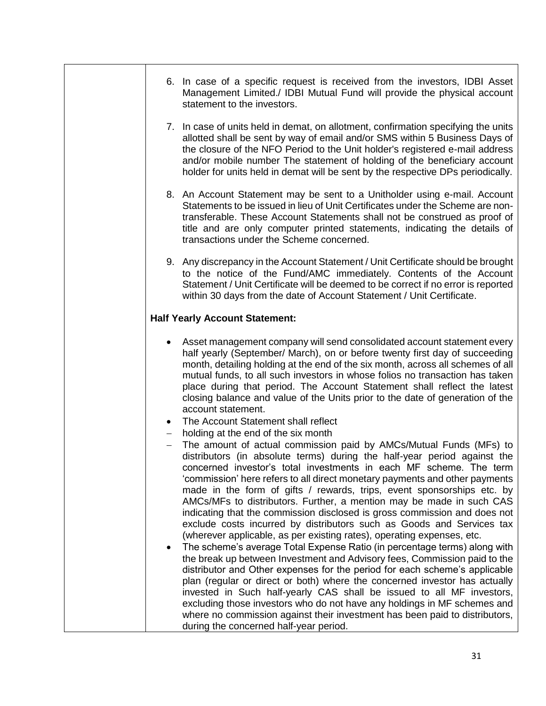| 6. In case of a specific request is received from the investors, IDBI Asset<br>Management Limited./ IDBI Mutual Fund will provide the physical account<br>statement to the investors.                                                                                                                                                                                                                                                                                                                                                                                                                                                                                                                                                                                                                                                                                                                                                                                                                                                                                                                                                                                                                                                                                                                       |
|-------------------------------------------------------------------------------------------------------------------------------------------------------------------------------------------------------------------------------------------------------------------------------------------------------------------------------------------------------------------------------------------------------------------------------------------------------------------------------------------------------------------------------------------------------------------------------------------------------------------------------------------------------------------------------------------------------------------------------------------------------------------------------------------------------------------------------------------------------------------------------------------------------------------------------------------------------------------------------------------------------------------------------------------------------------------------------------------------------------------------------------------------------------------------------------------------------------------------------------------------------------------------------------------------------------|
| 7. In case of units held in demat, on allotment, confirmation specifying the units<br>allotted shall be sent by way of email and/or SMS within 5 Business Days of<br>the closure of the NFO Period to the Unit holder's registered e-mail address<br>and/or mobile number The statement of holding of the beneficiary account<br>holder for units held in demat will be sent by the respective DPs periodically.                                                                                                                                                                                                                                                                                                                                                                                                                                                                                                                                                                                                                                                                                                                                                                                                                                                                                            |
| 8. An Account Statement may be sent to a Unitholder using e-mail. Account<br>Statements to be issued in lieu of Unit Certificates under the Scheme are non-<br>transferable. These Account Statements shall not be construed as proof of<br>title and are only computer printed statements, indicating the details of<br>transactions under the Scheme concerned.                                                                                                                                                                                                                                                                                                                                                                                                                                                                                                                                                                                                                                                                                                                                                                                                                                                                                                                                           |
| 9. Any discrepancy in the Account Statement / Unit Certificate should be brought<br>to the notice of the Fund/AMC immediately. Contents of the Account<br>Statement / Unit Certificate will be deemed to be correct if no error is reported<br>within 30 days from the date of Account Statement / Unit Certificate.                                                                                                                                                                                                                                                                                                                                                                                                                                                                                                                                                                                                                                                                                                                                                                                                                                                                                                                                                                                        |
| <b>Half Yearly Account Statement:</b>                                                                                                                                                                                                                                                                                                                                                                                                                                                                                                                                                                                                                                                                                                                                                                                                                                                                                                                                                                                                                                                                                                                                                                                                                                                                       |
| Asset management company will send consolidated account statement every<br>half yearly (September/ March), on or before twenty first day of succeeding<br>month, detailing holding at the end of the six month, across all schemes of all<br>mutual funds, to all such investors in whose folios no transaction has taken<br>place during that period. The Account Statement shall reflect the latest<br>closing balance and value of the Units prior to the date of generation of the<br>account statement.                                                                                                                                                                                                                                                                                                                                                                                                                                                                                                                                                                                                                                                                                                                                                                                                |
| The Account Statement shall reflect                                                                                                                                                                                                                                                                                                                                                                                                                                                                                                                                                                                                                                                                                                                                                                                                                                                                                                                                                                                                                                                                                                                                                                                                                                                                         |
| holding at the end of the six month<br>$\qquad \qquad -$<br>The amount of actual commission paid by AMCs/Mutual Funds (MFs) to<br>distributors (in absolute terms) during the half-year period against the<br>concerned investor's total investments in each MF scheme. The term<br>'commission' here refers to all direct monetary payments and other payments<br>made in the form of gifts / rewards, trips, event sponsorships etc. by<br>AMCs/MFs to distributors. Further, a mention may be made in such CAS<br>indicating that the commission disclosed is gross commission and does not<br>exclude costs incurred by distributors such as Goods and Services tax<br>(wherever applicable, as per existing rates), operating expenses, etc.<br>The scheme's average Total Expense Ratio (in percentage terms) along with<br>the break up between Investment and Advisory fees, Commission paid to the<br>distributor and Other expenses for the period for each scheme's applicable<br>plan (regular or direct or both) where the concerned investor has actually<br>invested in Such half-yearly CAS shall be issued to all MF investors,<br>excluding those investors who do not have any holdings in MF schemes and<br>where no commission against their investment has been paid to distributors, |
| during the concerned half-year period.                                                                                                                                                                                                                                                                                                                                                                                                                                                                                                                                                                                                                                                                                                                                                                                                                                                                                                                                                                                                                                                                                                                                                                                                                                                                      |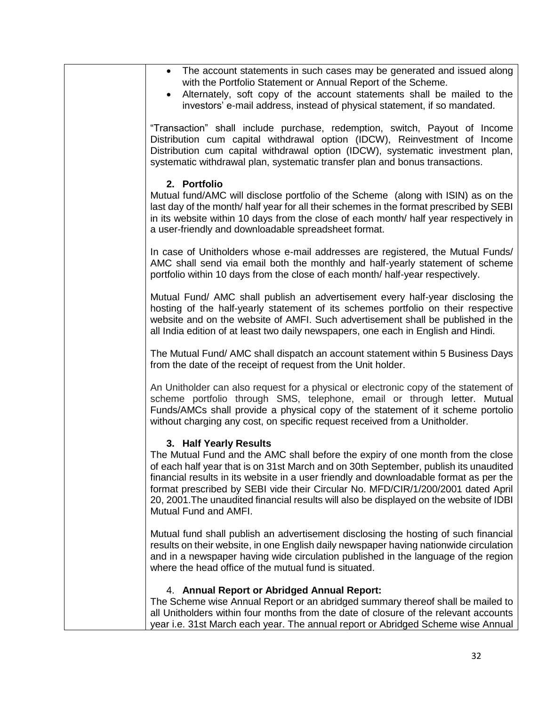| • The account statements in such cases may be generated and issued along<br>with the Portfolio Statement or Annual Report of the Scheme.<br>• Alternately, soft copy of the account statements shall be mailed to the<br>investors' e-mail address, instead of physical statement, if so mandated.                                                                                                                                                                                                  |
|-----------------------------------------------------------------------------------------------------------------------------------------------------------------------------------------------------------------------------------------------------------------------------------------------------------------------------------------------------------------------------------------------------------------------------------------------------------------------------------------------------|
| "Transaction" shall include purchase, redemption, switch, Payout of Income<br>Distribution cum capital withdrawal option (IDCW), Reinvestment of Income<br>Distribution cum capital withdrawal option (IDCW), systematic investment plan,<br>systematic withdrawal plan, systematic transfer plan and bonus transactions.                                                                                                                                                                           |
| 2. Portfolio<br>Mutual fund/AMC will disclose portfolio of the Scheme (along with ISIN) as on the<br>last day of the month/ half year for all their schemes in the format prescribed by SEBI<br>in its website within 10 days from the close of each month/ half year respectively in<br>a user-friendly and downloadable spreadsheet format.                                                                                                                                                       |
| In case of Unitholders whose e-mail addresses are registered, the Mutual Funds/<br>AMC shall send via email both the monthly and half-yearly statement of scheme<br>portfolio within 10 days from the close of each month/ half-year respectively.                                                                                                                                                                                                                                                  |
| Mutual Fund/ AMC shall publish an advertisement every half-year disclosing the<br>hosting of the half-yearly statement of its schemes portfolio on their respective<br>website and on the website of AMFI. Such advertisement shall be published in the<br>all India edition of at least two daily newspapers, one each in English and Hindi.                                                                                                                                                       |
| The Mutual Fund/ AMC shall dispatch an account statement within 5 Business Days<br>from the date of the receipt of request from the Unit holder.                                                                                                                                                                                                                                                                                                                                                    |
| An Unitholder can also request for a physical or electronic copy of the statement of<br>scheme portfolio through SMS, telephone, email or through letter. Mutual<br>Funds/AMCs shall provide a physical copy of the statement of it scheme portolio<br>without charging any cost, on specific request received from a Unitholder.                                                                                                                                                                   |
| 3. Half Yearly Results<br>The Mutual Fund and the AMC shall before the expiry of one month from the close<br>of each half year that is on 31st March and on 30th September, publish its unaudited<br>financial results in its website in a user friendly and downloadable format as per the<br>format prescribed by SEBI vide their Circular No. MFD/CIR/1/200/2001 dated April<br>20, 2001. The unaudited financial results will also be displayed on the website of IDBI<br>Mutual Fund and AMFI. |
| Mutual fund shall publish an advertisement disclosing the hosting of such financial<br>results on their website, in one English daily newspaper having nationwide circulation<br>and in a newspaper having wide circulation published in the language of the region<br>where the head office of the mutual fund is situated.                                                                                                                                                                        |
| 4. Annual Report or Abridged Annual Report:<br>The Scheme wise Annual Report or an abridged summary thereof shall be mailed to<br>all Unitholders within four months from the date of closure of the relevant accounts<br>year i.e. 31st March each year. The annual report or Abridged Scheme wise Annual                                                                                                                                                                                          |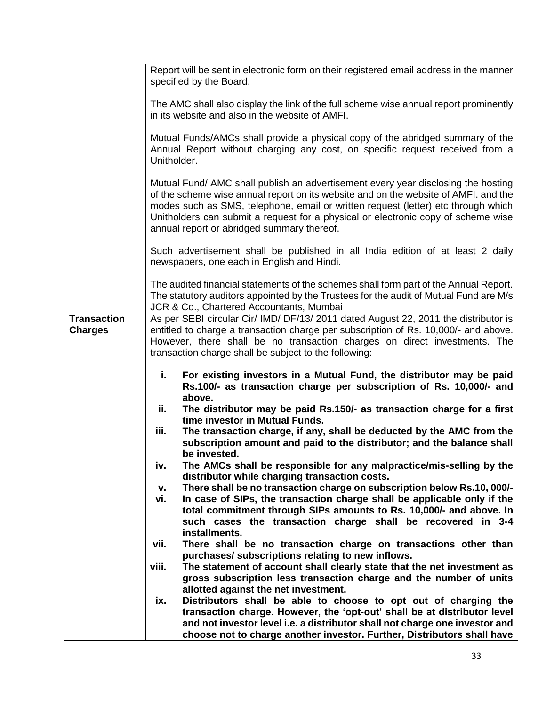|                                      | Report will be sent in electronic form on their registered email address in the manner<br>specified by the Board.                                                                                                                                                                                                                                                                                |
|--------------------------------------|--------------------------------------------------------------------------------------------------------------------------------------------------------------------------------------------------------------------------------------------------------------------------------------------------------------------------------------------------------------------------------------------------|
|                                      | The AMC shall also display the link of the full scheme wise annual report prominently<br>in its website and also in the website of AMFI.                                                                                                                                                                                                                                                         |
|                                      | Mutual Funds/AMCs shall provide a physical copy of the abridged summary of the<br>Annual Report without charging any cost, on specific request received from a<br>Unitholder.                                                                                                                                                                                                                    |
|                                      | Mutual Fund/ AMC shall publish an advertisement every year disclosing the hosting<br>of the scheme wise annual report on its website and on the website of AMFI. and the<br>modes such as SMS, telephone, email or written request (letter) etc through which<br>Unitholders can submit a request for a physical or electronic copy of scheme wise<br>annual report or abridged summary thereof. |
|                                      | Such advertisement shall be published in all India edition of at least 2 daily<br>newspapers, one each in English and Hindi.                                                                                                                                                                                                                                                                     |
|                                      | The audited financial statements of the schemes shall form part of the Annual Report.<br>The statutory auditors appointed by the Trustees for the audit of Mutual Fund are M/s<br>JCR & Co., Chartered Accountants, Mumbai                                                                                                                                                                       |
| <b>Transaction</b><br><b>Charges</b> | As per SEBI circular Cir/ IMD/ DF/13/ 2011 dated August 22, 2011 the distributor is<br>entitled to charge a transaction charge per subscription of Rs. 10,000/- and above.<br>However, there shall be no transaction charges on direct investments. The<br>transaction charge shall be subject to the following:                                                                                 |
|                                      | i.<br>For existing investors in a Mutual Fund, the distributor may be paid<br>Rs.100/- as transaction charge per subscription of Rs. 10,000/- and<br>above.                                                                                                                                                                                                                                      |
|                                      | ii.<br>The distributor may be paid Rs.150/- as transaction charge for a first<br>time investor in Mutual Funds.                                                                                                                                                                                                                                                                                  |
|                                      | iii.<br>The transaction charge, if any, shall be deducted by the AMC from the<br>subscription amount and paid to the distributor; and the balance shall<br>be invested.                                                                                                                                                                                                                          |
|                                      | The AMCs shall be responsible for any malpractice/mis-selling by the<br>iv.<br>distributor while charging transaction costs.                                                                                                                                                                                                                                                                     |
|                                      | There shall be no transaction charge on subscription below Rs.10, 000/-<br>v.                                                                                                                                                                                                                                                                                                                    |
|                                      | In case of SIPs, the transaction charge shall be applicable only if the<br>vi.<br>total commitment through SIPs amounts to Rs. 10,000/- and above. In<br>such cases the transaction charge shall be recovered in 3-4<br>installments.                                                                                                                                                            |
|                                      | There shall be no transaction charge on transactions other than<br>vii.                                                                                                                                                                                                                                                                                                                          |
|                                      | purchases/ subscriptions relating to new inflows.<br>The statement of account shall clearly state that the net investment as<br>viii.                                                                                                                                                                                                                                                            |
|                                      | gross subscription less transaction charge and the number of units<br>allotted against the net investment.                                                                                                                                                                                                                                                                                       |
|                                      | Distributors shall be able to choose to opt out of charging the<br>ix.                                                                                                                                                                                                                                                                                                                           |
|                                      | transaction charge. However, the 'opt-out' shall be at distributor level<br>and not investor level i.e. a distributor shall not charge one investor and<br>choose not to charge another investor. Further, Distributors shall have                                                                                                                                                               |